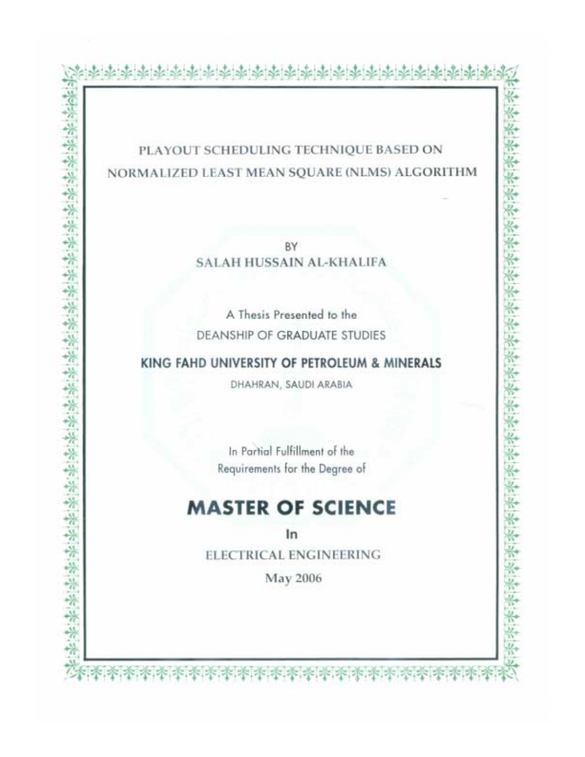## PLAYOUT SCHEDULING TECHNIQUE BASED ON NORMALIZED LEAST MEAN SQUARE (NLMS) ALGORITHM

BY **SALAH HUSSAIN AL-KHALIFA** 

A Thesis Presented to the DEANSHIP OF GRADUATE STUDIES

KING FAHD UNIVERSITY OF PETROLEUM & MINERALS

DHAHRAN, SAUDI ARABIA

医紫紫紫紫紫紫紫紫紫紫紫紫紫紫紫紫紫紫紫紫紫紫紫紫紫紫紫紫

In Partial Fulfillment of the Requirements for the Degree of

# **MASTER OF SCIENCE**

In ELECTRICAL ENGINEERING

May 2006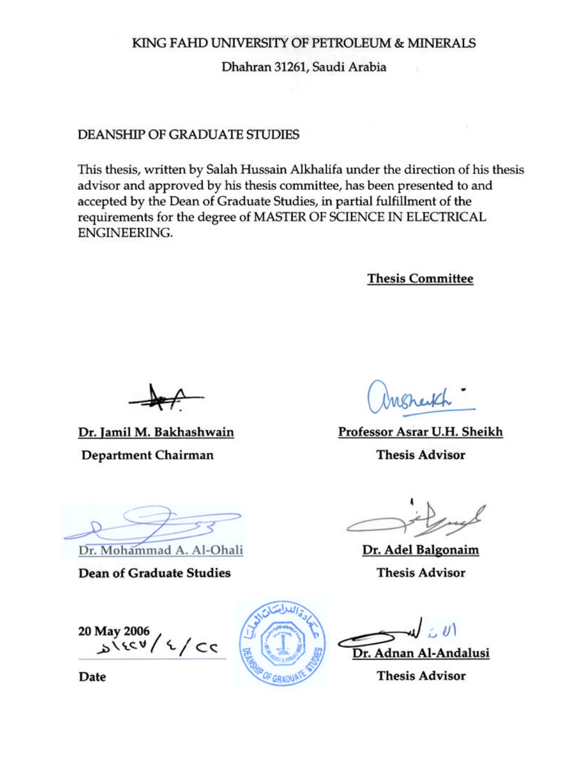## KING FAHD UNIVERSITY OF PETROLEUM & MINERALS

Dhahran 31261, Saudi Arabia

## DEANSHIP OF GRADUATE STUDIES

This thesis, written by Salah Hussain Alkhalifa under the direction of his thesis advisor and approved by his thesis committee, has been presented to and accepted by the Dean of Graduate Studies, in partial fulfillment of the requirements for the degree of MASTER OF SCIENCE IN ELECTRICAL ENGINEERING.

**Thesis Committee** 

Dr. Jamil M. Bakhashwain Department Chairman

Professor Asrar U.H. Sheikh

**Thesis Advisor** 

Dr. Adel Balgonaim

**Thesis Advisor** 

Dr. Mohammad A. Al-Ohali

**Dean of Graduate Studies** 

20 May 2006<br> $5\frac{1}{2}$ 



Dr. Adnan Al-Andalusi

**Thesis Advisor** 

Date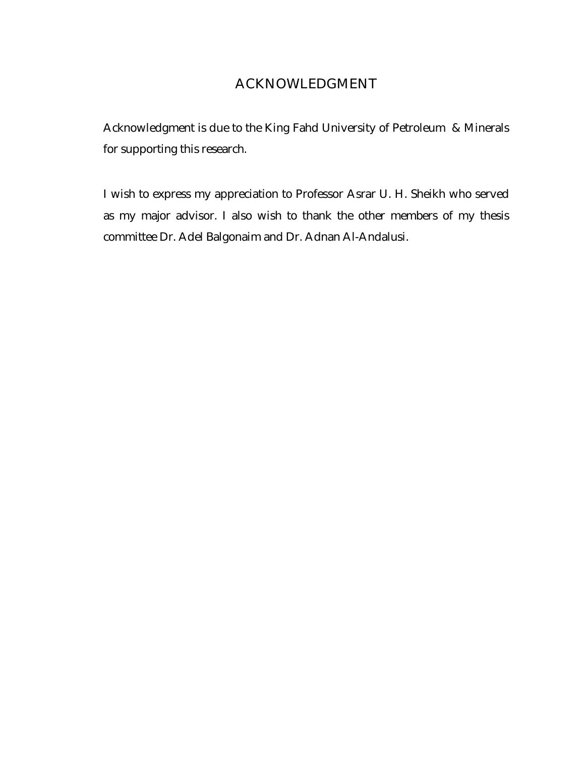## ACKNOWLEDGMENT

Acknowledgment is due to the King Fahd University of Petroleum & Minerals for supporting this research.

I wish to express my appreciation to Professor Asrar U. H. Sheikh who served as my major advisor. I also wish to thank the other members of my thesis committee Dr. Adel Balgonaim and Dr. Adnan Al-Andalusi.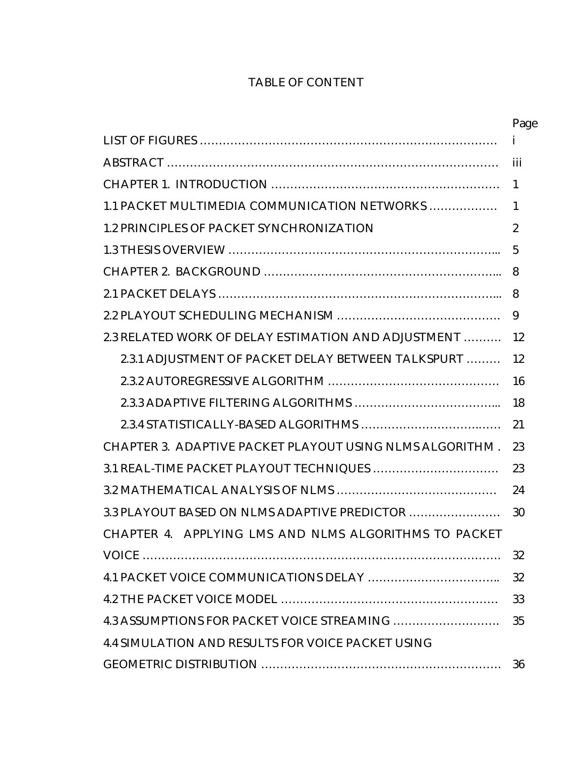## TABLE OF CONTENT

|                                                          | Page |  |
|----------------------------------------------------------|------|--|
|                                                          | Ť    |  |
|                                                          | iii  |  |
|                                                          |      |  |
| 1.1 PACKET MULTIMEDIA COMMUNICATION NETWORKS             | 1    |  |
| <b>1.2 PRINCIPLES OF PACKET SYNCHRONIZATION</b>          | 2    |  |
|                                                          | 5    |  |
|                                                          | 8    |  |
|                                                          | 8    |  |
|                                                          | 9    |  |
| 2.3 RELATED WORK OF DELAY ESTIMATION AND ADJUSTMENT      | 12   |  |
| 2.3.1 ADJUSTMENT OF PACKET DELAY BETWEEN TALKSPURT       | 12   |  |
|                                                          | 16   |  |
|                                                          | 18   |  |
|                                                          | 21   |  |
| CHAPTER 3. ADAPTIVE PACKET PLAYOUT USING NLMS ALGORITHM. | 23   |  |
|                                                          | 23   |  |
|                                                          | 24   |  |
| 3.3 PLAYOUT BASED ON NLMS ADAPTIVE PREDICTOR             | 30   |  |
| CHAPTER 4. APPLYING LMS AND NLMS ALGORITHMS TO PACKET    |      |  |
|                                                          | 32   |  |
|                                                          | 32   |  |
|                                                          | 33   |  |
|                                                          | 35   |  |
| <b>4.4 SIMULATION AND RESULTS FOR VOICE PACKET USING</b> |      |  |
|                                                          | 36   |  |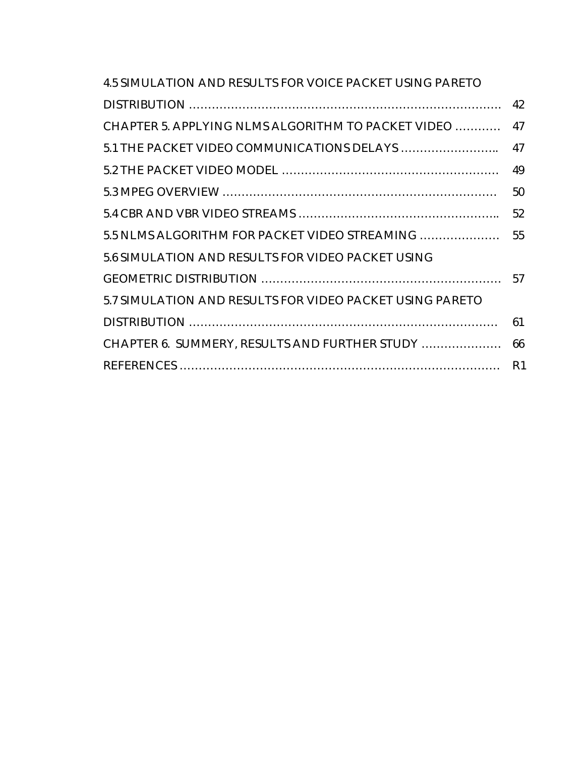| <b>4.5 SIMULATION AND RESULTS FOR VOICE PACKET USING PARETO</b> |                |
|-----------------------------------------------------------------|----------------|
|                                                                 | 42             |
| CHAPTER 5. APPLYING NLMS ALGORITHM TO PACKET VIDEO              | 47             |
|                                                                 | 47             |
|                                                                 | 49             |
|                                                                 | 50             |
|                                                                 | 52             |
| 5.5 NLMS ALGORITHM FOR PACKET VIDEO STREAMING                   | 55             |
| 5.6 SIMULATION AND RESULTS FOR VIDEO PACKET USING               |                |
|                                                                 | 57             |
| 5.7 SIMULATION AND RESULTS FOR VIDEO PACKET USING PARETO        |                |
|                                                                 | 61             |
| CHAPTER 6. SUMMERY, RESULTS AND FURTHER STUDY                   | 66             |
|                                                                 | R <sub>1</sub> |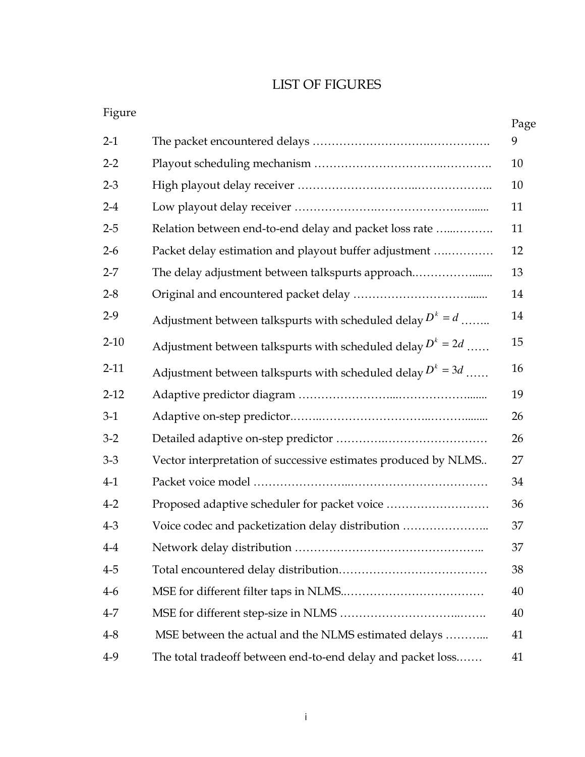## LIST OF FIGURES

| Figure   |                                                                | Page |
|----------|----------------------------------------------------------------|------|
| $2-1$    |                                                                | 9    |
| $2-2$    |                                                                | 10   |
| $2 - 3$  |                                                                | 10   |
| $2 - 4$  |                                                                | 11   |
| $2 - 5$  | Relation between end-to-end delay and packet loss rate         | 11   |
| $2 - 6$  | Packet delay estimation and playout buffer adjustment          | 12   |
| $2 - 7$  | The delay adjustment between talkspurts approach               | 13   |
| $2 - 8$  |                                                                | 14   |
| $2-9$    | Adjustment between talkspurts with scheduled delay $D^k = d$   | 14   |
| $2 - 10$ | Adjustment between talkspurts with scheduled delay $D^k = 2d$  | 15   |
| $2-11$   | Adjustment between talkspurts with scheduled delay $D^k = 3d$  | 16   |
| $2 - 12$ |                                                                | 19   |
| $3-1$    |                                                                | 26   |
| $3-2$    |                                                                | 26   |
| $3-3$    | Vector interpretation of successive estimates produced by NLMS | 27   |
| $4-1$    |                                                                | 34   |
| $4 - 2$  |                                                                | 36   |
| $4 - 3$  | Voice codec and packetization delay distribution               | 37   |
| $4-4$    |                                                                | 37   |
| $4 - 5$  |                                                                | 38   |
| $4-6$    |                                                                | 40   |
| $4 - 7$  |                                                                | 40   |
| $4 - 8$  | MSE between the actual and the NLMS estimated delays           | 41   |
| $4-9$    | The total tradeoff between end-to-end delay and packet loss    | 41   |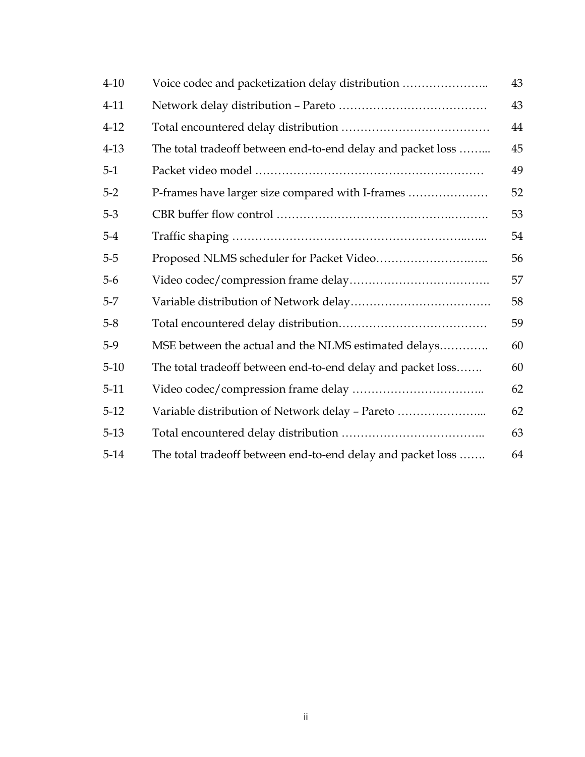| $4 - 10$ | Voice codec and packetization delay distribution            | 43 |
|----------|-------------------------------------------------------------|----|
| $4 - 11$ |                                                             | 43 |
| $4-12$   |                                                             | 44 |
| $4 - 13$ | The total tradeoff between end-to-end delay and packet loss | 45 |
| $5-1$    |                                                             | 49 |
| $5 - 2$  | P-frames have larger size compared with I-frames            | 52 |
| $5-3$    |                                                             | 53 |
| $5 - 4$  |                                                             | 54 |
| $5 - 5$  |                                                             | 56 |
| $5-6$    |                                                             | 57 |
| $5-7$    |                                                             | 58 |
| $5 - 8$  |                                                             | 59 |
| $5-9$    | MSE between the actual and the NLMS estimated delays        | 60 |
| $5 - 10$ | The total tradeoff between end-to-end delay and packet loss | 60 |
| $5-11$   |                                                             | 62 |
| $5-12$   | Variable distribution of Network delay - Pareto             | 62 |
| $5-13$   |                                                             | 63 |
| $5-14$   | The total tradeoff between end-to-end delay and packet loss | 64 |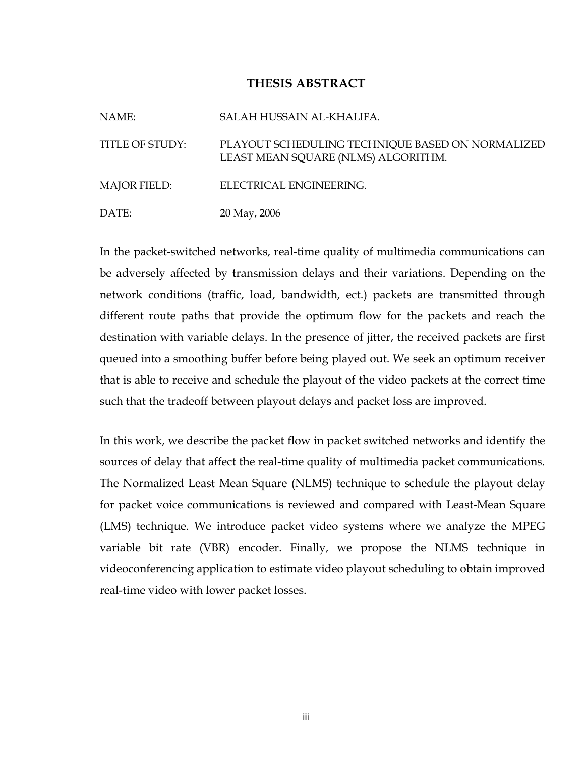### THESIS ABSTRACT

| NAME:               | SALAH HUSSAIN AL-KHALIFA.                                                               |
|---------------------|-----------------------------------------------------------------------------------------|
| TITLE OF STUDY:     | PLAYOUT SCHEDULING TECHNIQUE BASED ON NORMALIZED<br>LEAST MEAN SQUARE (NLMS) ALGORITHM. |
| <b>MAJOR FIELD:</b> | ELECTRICAL ENGINEERING.                                                                 |
| DATE:               | 20 May, 2006                                                                            |

In the packet-switched networks, real-time quality of multimedia communications can be adversely affected by transmission delays and their variations. Depending on the network conditions (traffic, load, bandwidth, ect.) packets are transmitted through different route paths that provide the optimum flow for the packets and reach the destination with variable delays. In the presence of jitter, the received packets are first queued into a smoothing buffer before being played out. We seek an optimum receiver that is able to receive and schedule the playout of the video packets at the correct time such that the tradeoff between playout delays and packet loss are improved.

In this work, we describe the packet flow in packet switched networks and identify the sources of delay that affect the real-time quality of multimedia packet communications. The Normalized Least Mean Square (NLMS) technique to schedule the playout delay for packet voice communications is reviewed and compared with Least-Mean Square (LMS) technique. We introduce packet video systems where we analyze the MPEG variable bit rate (VBR) encoder. Finally, we propose the NLMS technique in videoconferencing application to estimate video playout scheduling to obtain improved real-time video with lower packet losses.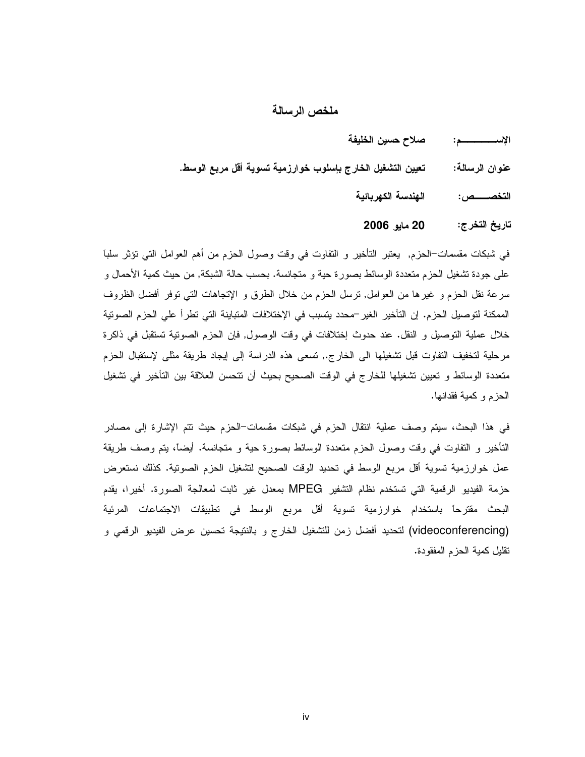#### ملخص الرسالة

- صلاح حسين الخليفة الإســــــــــــم:
- تعيين التشغيل الخارج بإسلوب خوارزمية تسوية أقل مربع الوسط. عنوان الرسالـة:
	- الهندسة الكهربائية التخصــــص:

20 مايو 2006 تاريخ التخرج:

في شبكات مقسمات–الحزم, يعتبر التأخير و التفاوت في وقت وصول الحزم من أهم العوامل التي نؤثر سلبا على جودة تشغيل الحزم منعددة الوسائط بصورة حية و منجانسة. بحسب حالة الشبكة, من حيث كمية الأحمال و سرعة نقل الحزم و غيرها من العوامل, نرسل الحزم من خلال الطرق و الإنجاهات التي نوفر أفضل الظروف الممكنة لتوصيل الحزم. إن التأخير الغير –محدد يتسبب في الإختلافات المتباينة التي تطرأ على الحزم الصوتية خلال عملية التوصيل و النقل. عند حدوث إختلافات في وقت الوصول, فإن الحزم الصوتية تستقبل في ذاكرة مرحلية لتخفيف النفاوت قبل تشغيلها الى الخارج., تسعى هذه الدراسة إلى إيجاد طريقة مثلي لإستقبال الحزم متعددة الوسائط و تعيين تشغيلها للخارج في الوقت الصحيح بحيث أن نتحسن العلاقة بين التأخير في تشغيل الحزم وكمية فقدانها.

في هذا البحث، سيتم وصف عملية انتقال الحزم في شبكات مقسمات–الحزم حيث نتم الإشارة إلى مصادر التأخير و النفاوت في وقت وصول الحزم منعددة الوسائط بصورة حية و منجانسة. أيضاً، يتم وصف طريقة عمل خوارزمية تسوية أقل مربع الوسط في تحديد الوقت الصحيح لتشغيل الحزم الصونية. كذلك نستعرض حزمة الفيديو الرقمية التي تستخدم نظام التشفير MPEG بمعدل غير ثابت لمعالجة الصورة. أخيرا، يقدم البحث مقترحاً باستخدام خوارزمية تسوية أقل مربع الوسط في تطبيقات الاجتماعات المرئية (videoconferencing) لتحديد أفضل زمن للتشغيل الخارج و بالنتيجة تحسين عرض الفيديو الرقمي و تقليل كمية الحزم المفقودة.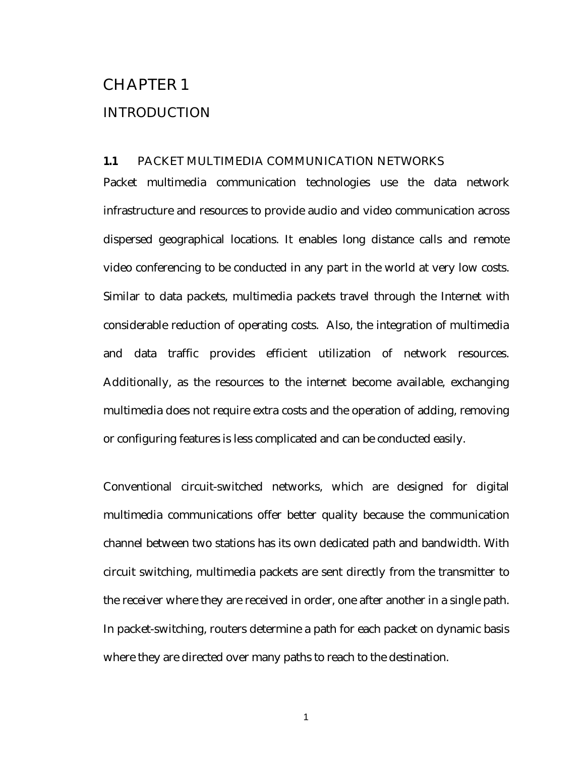## CHAPTER 1

#### INTRODUCTION

#### **1.1** PACKET MULTIMEDIA COMMUNICATION NETWORKS

Packet multimedia communication technologies use the data network infrastructure and resources to provide audio and video communication across dispersed geographical locations. It enables long distance calls and remote video conferencing to be conducted in any part in the world at very low costs. Similar to data packets, multimedia packets travel through the Internet with considerable reduction of operating costs. Also, the integration of multimedia and data traffic provides efficient utilization of network resources. Additionally, as the resources to the internet become available, exchanging multimedia does not require extra costs and the operation of adding, removing or configuring features is less complicated and can be conducted easily.

Conventional circuit-switched networks, which are designed for digital multimedia communications offer better quality because the communication channel between two stations has its own dedicated path and bandwidth. With circuit switching, multimedia packets are sent directly from the transmitter to the receiver where they are received in order, one after another in a single path. In packet-switching, routers determine a path for each packet on dynamic basis where they are directed over many paths to reach to the destination.

1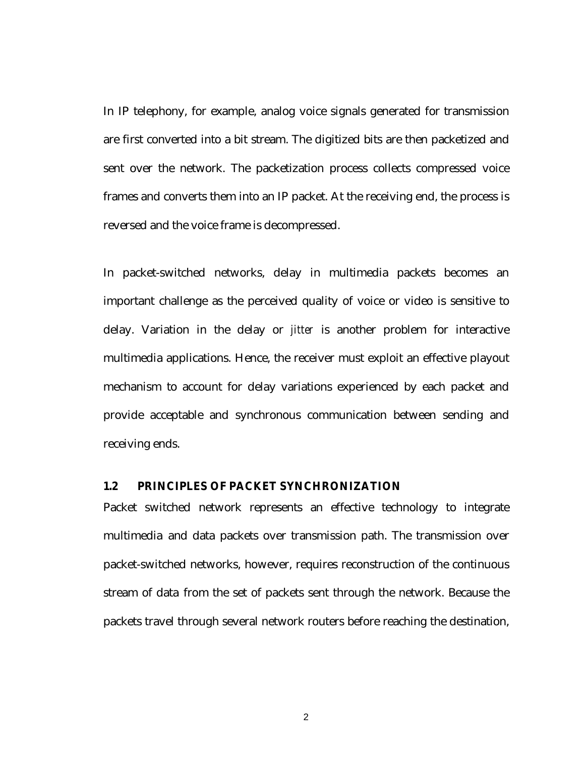In IP telephony, for example, analog voice signals generated for transmission are first converted into a bit stream. The digitized bits are then packetized and sent over the network. The packetization process collects compressed voice frames and converts them into an IP packet. At the receiving end, the process is reversed and the voice frame is decompressed.

In packet-switched networks, delay in multimedia packets becomes an important challenge as the perceived quality of voice or video is sensitive to delay. Variation in the delay or *jitter* is another problem for interactive multimedia applications. Hence, the receiver must exploit an effective playout mechanism to account for delay variations experienced by each packet and provide acceptable and synchronous communication between sending and receiving ends.

#### **1.2 PRINCIPLES OF PACKET SYNCHRONIZATION**

Packet switched network represents an effective technology to integrate multimedia and data packets over transmission path. The transmission over packet-switched networks, however, requires reconstruction of the continuous stream of data from the set of packets sent through the network. Because the packets travel through several network routers before reaching the destination,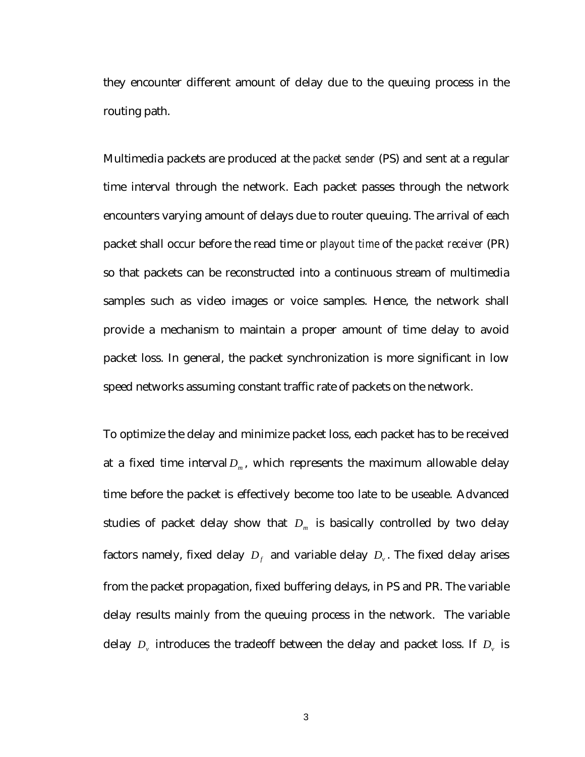they encounter different amount of delay due to the queuing process in the routing path.

Multimedia packets are produced at the *packet sender* (PS) and sent at a regular time interval through the network. Each packet passes through the network encounters varying amount of delays due to router queuing. The arrival of each packet shall occur before the read time or *playout time* of the *packet receiver* (PR) so that packets can be reconstructed into a continuous stream of multimedia samples such as video images or voice samples. Hence, the network shall provide a mechanism to maintain a proper amount of time delay to avoid packet loss. In general, the packet synchronization is more significant in low speed networks assuming constant traffic rate of packets on the network.

To optimize the delay and minimize packet loss, each packet has to be received at a fixed time interval  $D_m$ , which represents the maximum allowable delay time before the packet is effectively become too late to be useable. Advanced studies of packet delay show that  $D_m$  is basically controlled by two delay factors namely, fixed delay  $D_f$  and variable delay  $D_v$ . The fixed delay arises from the packet propagation, fixed buffering delays, in PS and PR. The variable delay results mainly from the queuing process in the network. The variable delay  $D_{\nu}$  introduces the tradeoff between the delay and packet loss. If  $D_{\nu}$  is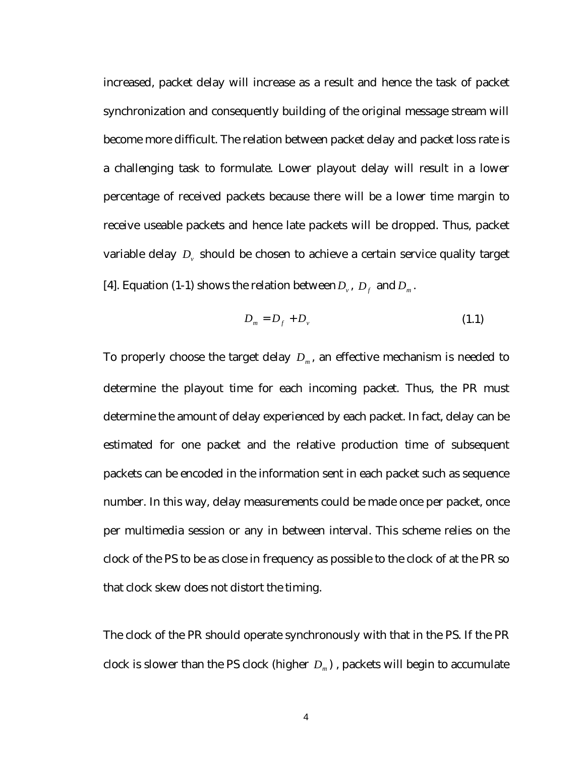increased, packet delay will increase as a result and hence the task of packet synchronization and consequently building of the original message stream will become more difficult. The relation between packet delay and packet loss rate is a challenging task to formulate. Lower playout delay will result in a lower percentage of received packets because there will be a lower time margin to receive useable packets and hence late packets will be dropped. Thus, packet variable delay  $D<sub>v</sub>$  should be chosen to achieve a certain service quality target [4]. Equation (1-1) shows the relation between  $D_{\nu}$ ,  $D_{f}$  and  $D_{m}$ .

$$
D_m = D_f + D_v \tag{1.1}
$$

To properly choose the target delay  $D_m$ , an effective mechanism is needed to determine the playout time for each incoming packet. Thus, the PR must determine the amount of delay experienced by each packet. In fact, delay can be estimated for one packet and the relative production time of subsequent packets can be encoded in the information sent in each packet such as sequence number. In this way, delay measurements could be made once per packet, once per multimedia session or any in between interval. This scheme relies on the clock of the PS to be as close in frequency as possible to the clock of at the PR so that clock skew does not distort the timing.

The clock of the PR should operate synchronously with that in the PS. If the PR clock is slower than the PS clock (higher  $D_m$ ), packets will begin to accumulate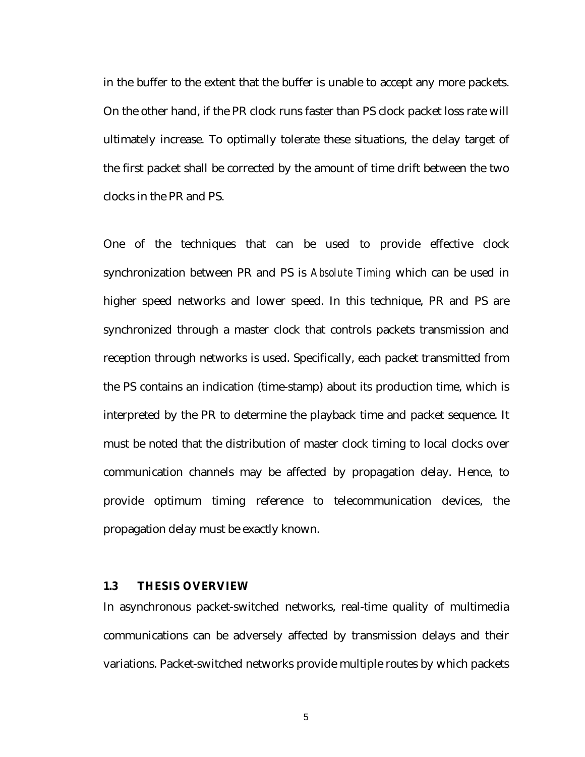in the buffer to the extent that the buffer is unable to accept any more packets. On the other hand, if the PR clock runs faster than PS clock packet loss rate will ultimately increase. To optimally tolerate these situations, the delay target of the first packet shall be corrected by the amount of time drift between the two clocks in the PR and PS.

One of the techniques that can be used to provide effective clock synchronization between PR and PS is *Absolute Timing* which can be used in higher speed networks and lower speed. In this technique, PR and PS are synchronized through a master clock that controls packets transmission and reception through networks is used. Specifically, each packet transmitted from the PS contains an indication (time-stamp) about its production time, which is interpreted by the PR to determine the playback time and packet sequence. It must be noted that the distribution of master clock timing to local clocks over communication channels may be affected by propagation delay. Hence, to provide optimum timing reference to telecommunication devices, the propagation delay must be exactly known.

#### **1.3 THESIS OVERVIEW**

In asynchronous packet-switched networks, real-time quality of multimedia communications can be adversely affected by transmission delays and their variations. Packet-switched networks provide multiple routes by which packets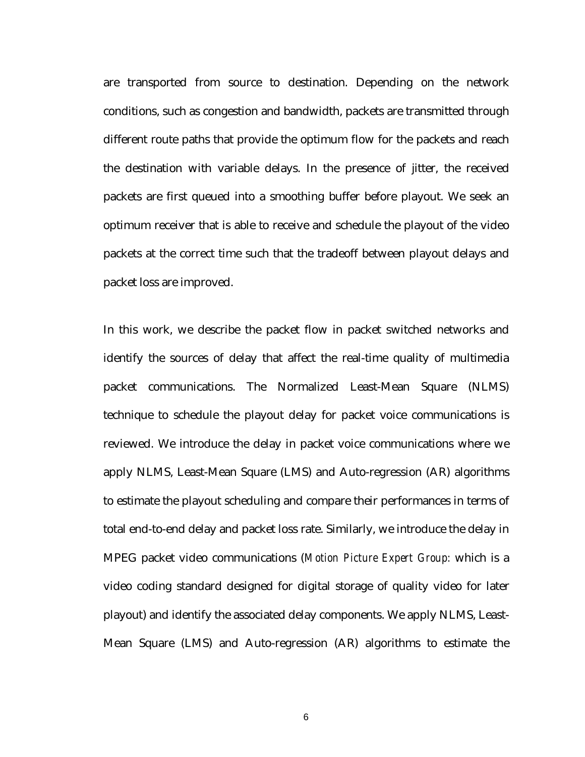are transported from source to destination. Depending on the network conditions, such as congestion and bandwidth, packets are transmitted through different route paths that provide the optimum flow for the packets and reach the destination with variable delays. In the presence of jitter, the received packets are first queued into a smoothing buffer before playout. We seek an optimum receiver that is able to receive and schedule the playout of the video packets at the correct time such that the tradeoff between playout delays and packet loss are improved.

In this work, we describe the packet flow in packet switched networks and identify the sources of delay that affect the real-time quality of multimedia packet communications. The Normalized Least-Mean Square (NLMS) technique to schedule the playout delay for packet voice communications is reviewed. We introduce the delay in packet voice communications where we apply NLMS, Least-Mean Square (LMS) and Auto-regression (AR) algorithms to estimate the playout scheduling and compare their performances in terms of total end-to-end delay and packet loss rate. Similarly, we introduce the delay in MPEG packet video communications (*Motion Picture Expert Group:* which is a video coding standard designed for digital storage of quality video for later playout) and identify the associated delay components. We apply NLMS, Least-Mean Square (LMS) and Auto-regression (AR) algorithms to estimate the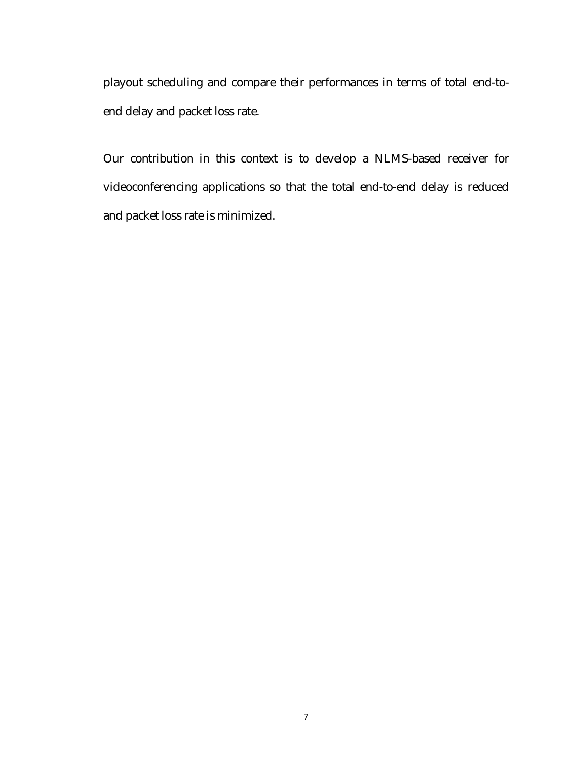playout scheduling and compare their performances in terms of total end-toend delay and packet loss rate.

Our contribution in this context is to develop a NLMS-based receiver for videoconferencing applications so that the total end-to-end delay is reduced and packet loss rate is minimized.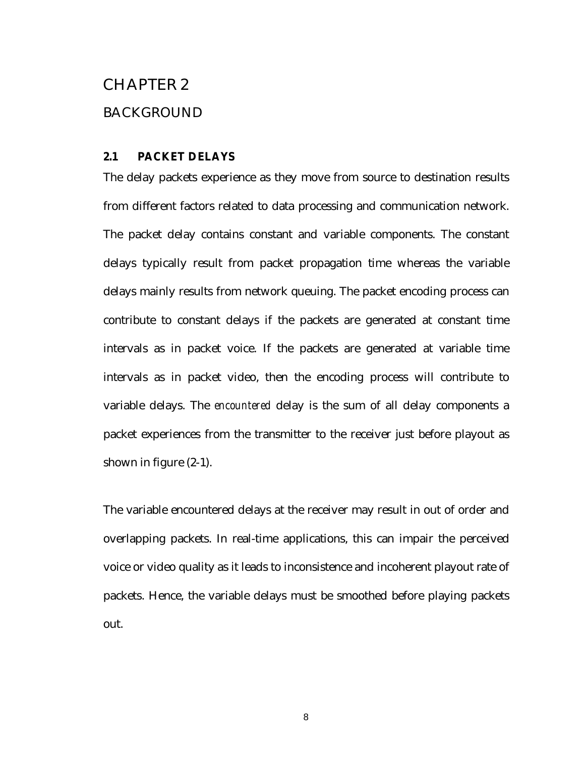## CHAPTER 2

#### BACKGROUND

#### **2.1 PACKET DELAYS**

The delay packets experience as they move from source to destination results from different factors related to data processing and communication network. The packet delay contains constant and variable components. The constant delays typically result from packet propagation time whereas the variable delays mainly results from network queuing. The packet encoding process can contribute to constant delays if the packets are generated at constant time intervals as in packet voice. If the packets are generated at variable time intervals as in packet video, then the encoding process will contribute to variable delays. The *encountered* delay is the sum of all delay components a packet experiences from the transmitter to the receiver just before playout as shown in figure (2-1).

The variable encountered delays at the receiver may result in out of order and overlapping packets. In real-time applications, this can impair the perceived voice or video quality as it leads to inconsistence and incoherent playout rate of packets. Hence, the variable delays must be smoothed before playing packets out.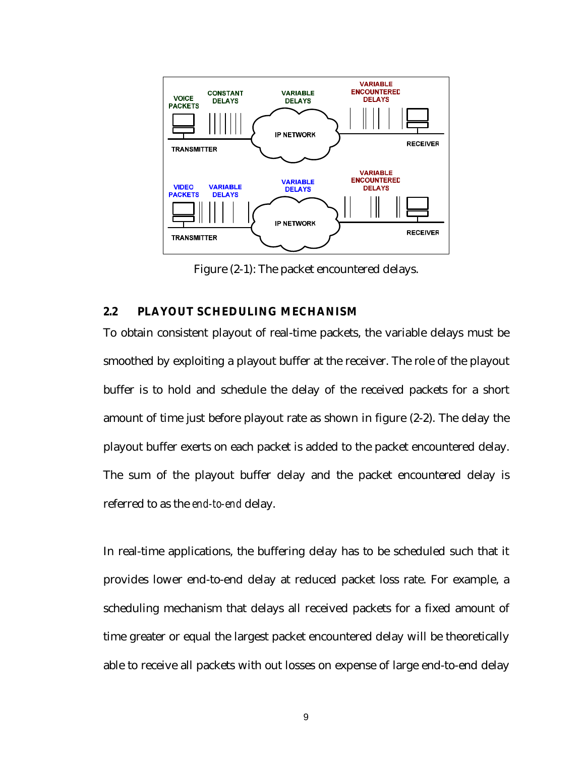

Figure (2-1): The packet encountered delays.

#### **2.2 PLAYOUT SCHEDULING MECHANISM**

To obtain consistent playout of real-time packets, the variable delays must be smoothed by exploiting a playout buffer at the receiver. The role of the playout buffer is to hold and schedule the delay of the received packets for a short amount of time just before playout rate as shown in figure (2-2). The delay the playout buffer exerts on each packet is added to the packet encountered delay. The sum of the playout buffer delay and the packet encountered delay is referred to as the *end-to-end* delay.

In real-time applications, the buffering delay has to be scheduled such that it provides lower end-to-end delay at reduced packet loss rate. For example, a scheduling mechanism that delays all received packets for a fixed amount of time greater or equal the largest packet encountered delay will be theoretically able to receive all packets with out losses on expense of large end-to-end delay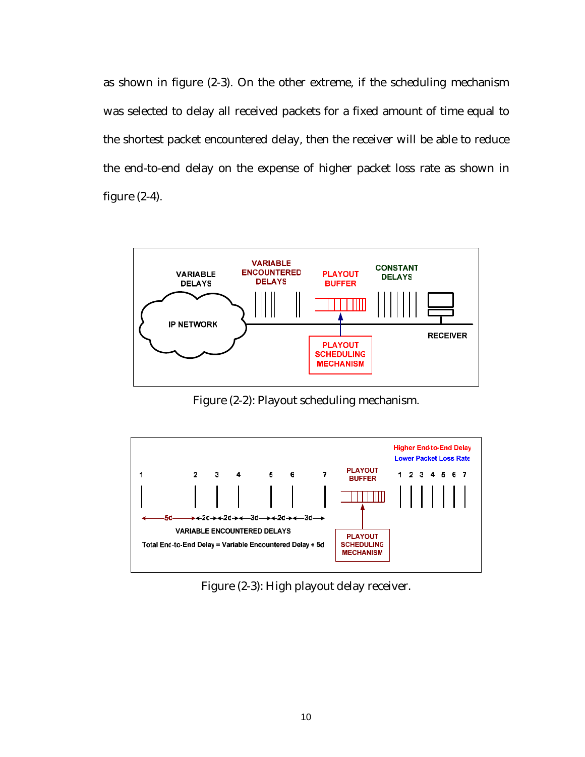as shown in figure (2-3). On the other extreme, if the scheduling mechanism was selected to delay all received packets for a fixed amount of time equal to the shortest packet encountered delay, then the receiver will be able to reduce the end-to-end delay on the expense of higher packet loss rate as shown in figure (2-4).



Figure (2-2): Playout scheduling mechanism.



Figure (2-3): High playout delay receiver.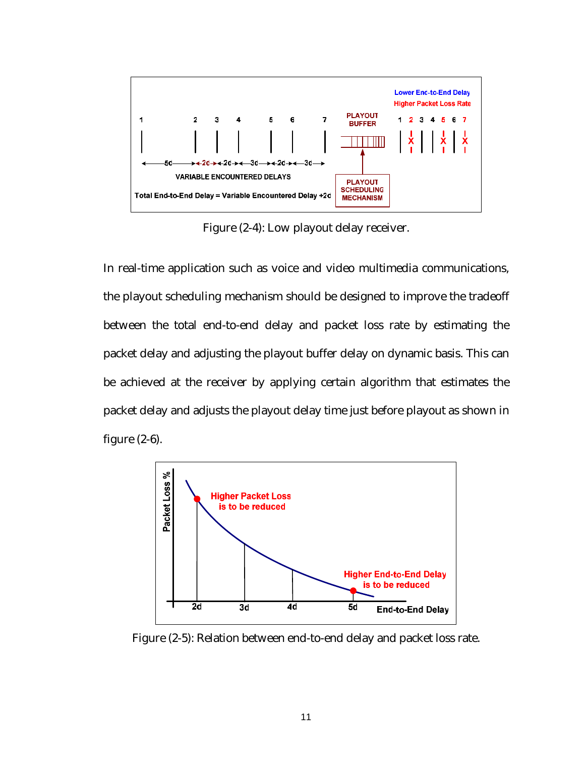

Figure (2-4): Low playout delay receiver.

In real-time application such as voice and video multimedia communications, the playout scheduling mechanism should be designed to improve the tradeoff between the total end-to-end delay and packet loss rate by estimating the packet delay and adjusting the playout buffer delay on dynamic basis. This can be achieved at the receiver by applying certain algorithm that estimates the packet delay and adjusts the playout delay time just before playout as shown in figure (2-6).



Figure (2-5): Relation between end-to-end delay and packet loss rate.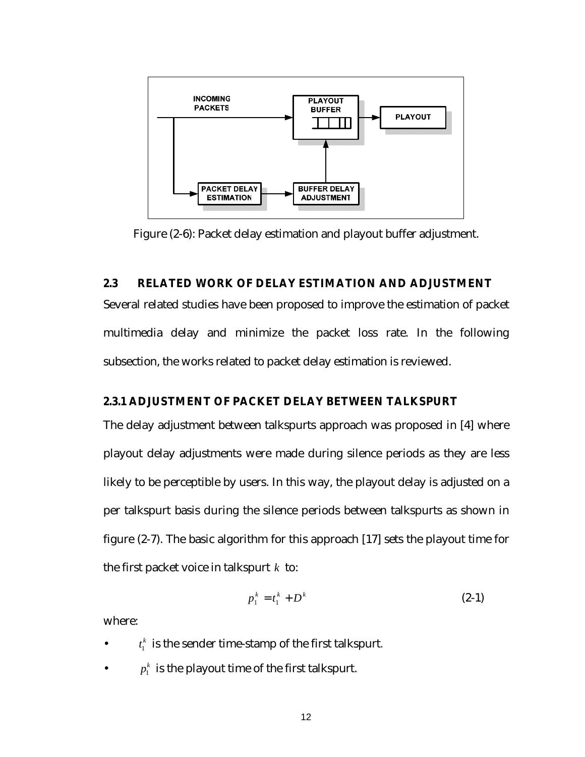

Figure (2-6): Packet delay estimation and playout buffer adjustment.

#### **2.3 RELATED WORK OF DELAY ESTIMATION AND ADJUSTMENT**

Several related studies have been proposed to improve the estimation of packet multimedia delay and minimize the packet loss rate. In the following subsection, the works related to packet delay estimation is reviewed.

#### **2.3.1 ADJUSTMENT OF PACKET DELAY BETWEEN TALKSPURT**

The delay adjustment between talkspurts approach was proposed in [4] where playout delay adjustments were made during silence periods as they are less likely to be perceptible by users. In this way, the playout delay is adjusted on a per talkspurt basis during the silence periods between talkspurts as shown in figure (2-7). The basic algorithm for this approach [17] sets the playout time for the first packet voice in talkspurt *k* to:

$$
p_1^k = t_1^k + D^k \tag{2-1}
$$

where:

- $t_1^k$  is the sender time-stamp of the first talkspurt.
- $p_1^k$  is the playout time of the first talkspurt.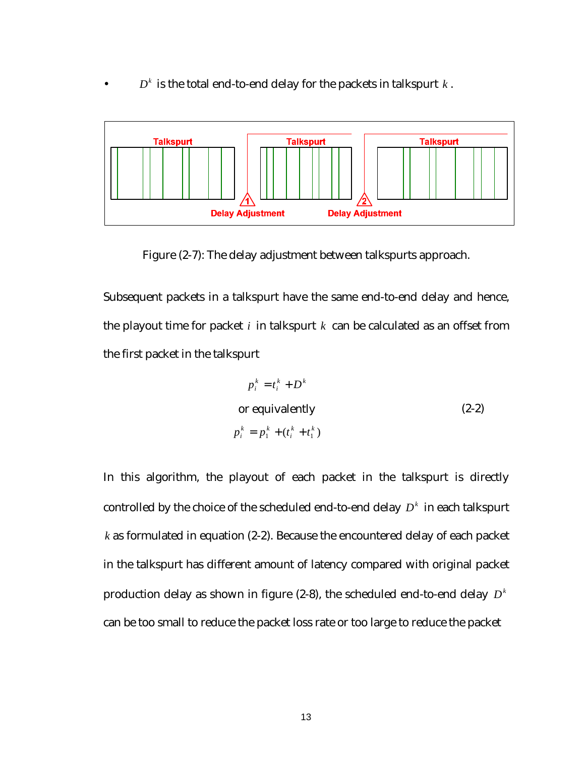$D<sup>k</sup>$  is the total end-to-end delay for the packets in talkspurt  $k$ .



Figure (2-7): The delay adjustment between talkspurts approach.

Subsequent packets in a talkspurt have the same end-to-end delay and hence, the playout time for packet  $i$  in talkspurt  $k$  can be calculated as an offset from the first packet in the talkspurt

$$
p_i^k = t_i^k + D^k
$$
  
or equivalently  

$$
p_i^k = p_1^k + (t_i^k + t_1^k)
$$
 (2-2)

In this algorithm, the playout of each packet in the talkspurt is directly controlled by the choice of the scheduled end-to-end delay  $D<sup>k</sup>$  in each talkspurt *k* as formulated in equation (2-2). Because the encountered delay of each packet in the talkspurt has different amount of latency compared with original packet production delay as shown in figure (2-8), the scheduled end-to-end delay  $D<sup>k</sup>$ can be too small to reduce the packet loss rate or too large to reduce the packet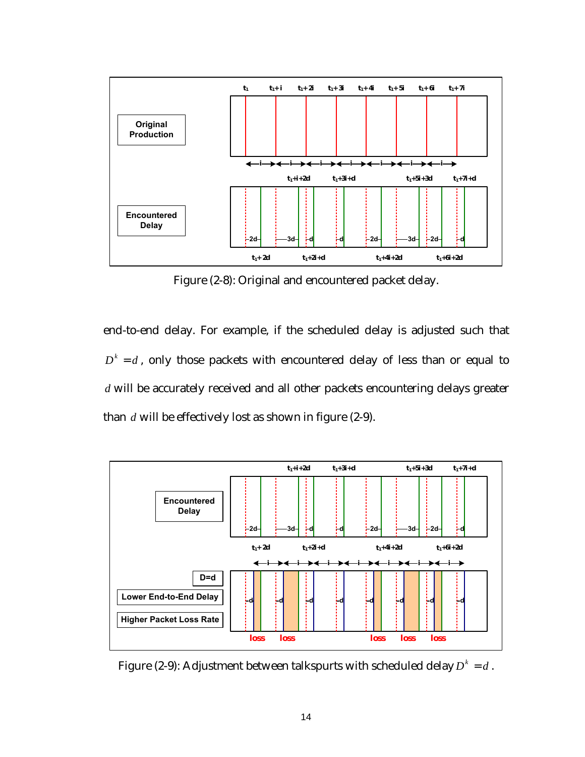

Figure (2-8): Original and encountered packet delay.

end-to-end delay. For example, if the scheduled delay is adjusted such that  $D^k = d$ , only those packets with encountered delay of less than or equal to *d* will be accurately received and all other packets encountering delays greater than *d* will be effectively lost as shown in figure (2-9).



Figure (2-9): Adjustment between talkspurts with scheduled delay  $D^k = d$ .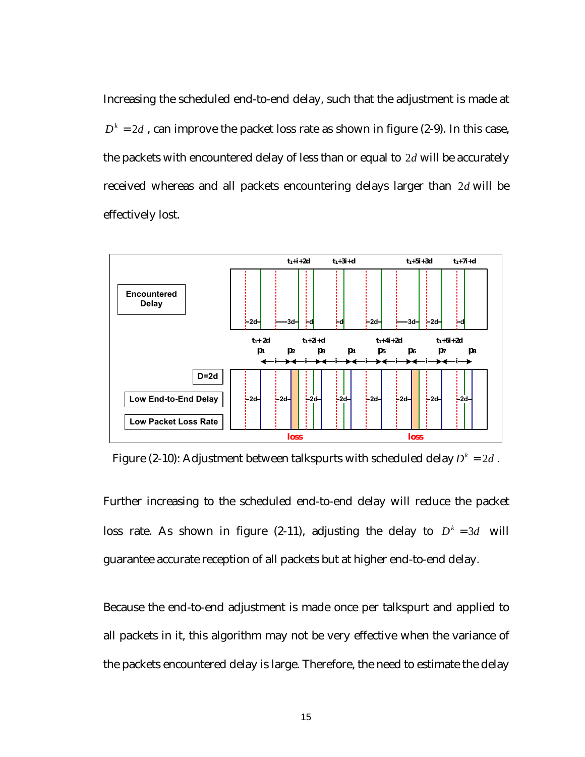Increasing the scheduled end-to-end delay, such that the adjustment is made at  $D^k = 2 d$  , can improve the packet loss rate as shown in figure (2-9). In this case, the packets with encountered delay of less than or equal to 2*d* will be accurately received whereas and all packets encountering delays larger than 2*d* will be effectively lost.



Figure (2-10): Adjustment between talkspurts with scheduled delay  $D^k = 2d$ .

Further increasing to the scheduled end-to-end delay will reduce the packet loss rate. As shown in figure (2-11), adjusting the delay to  $D^k = 3d$  will guarantee accurate reception of all packets but at higher end-to-end delay.

Because the end-to-end adjustment is made once per talkspurt and applied to all packets in it, this algorithm may not be very effective when the variance of the packets encountered delay is large. Therefore, the need to estimate the delay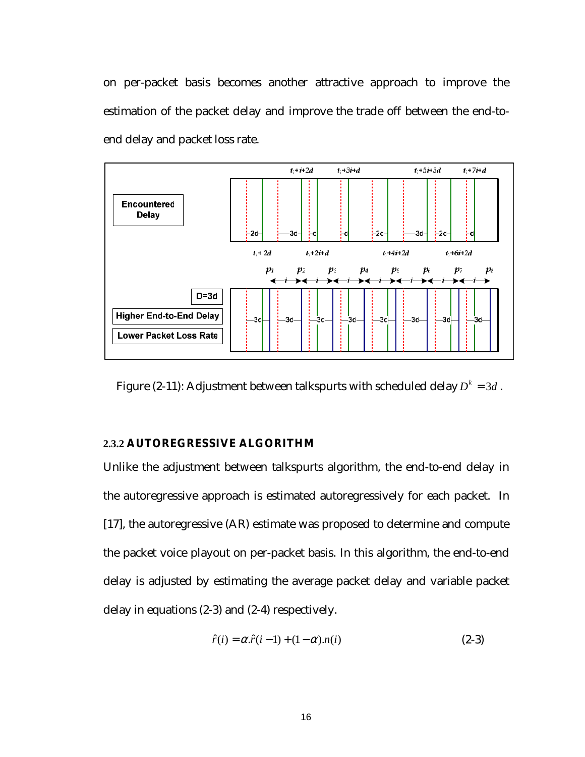on per-packet basis becomes another attractive approach to improve the estimation of the packet delay and improve the trade off between the end-toend delay and packet loss rate.



Figure (2-11): Adjustment between talkspurts with scheduled delay  $D^k = 3d$ .

#### **2.3.2 AUTOREGRESSIVE ALGORITHM**

Unlike the adjustment between talkspurts algorithm, the end-to-end delay in the autoregressive approach is estimated autoregressively for each packet. In [17], the autoregressive (AR) estimate was proposed to determine and compute the packet voice playout on per-packet basis. In this algorithm, the end-to-end delay is adjusted by estimating the average packet delay and variable packet delay in equations (2-3) and (2-4) respectively.

$$
\hat{r}(i) = \alpha \cdot \hat{r}(i-1) + (1-\alpha) \cdot n(i) \tag{2-3}
$$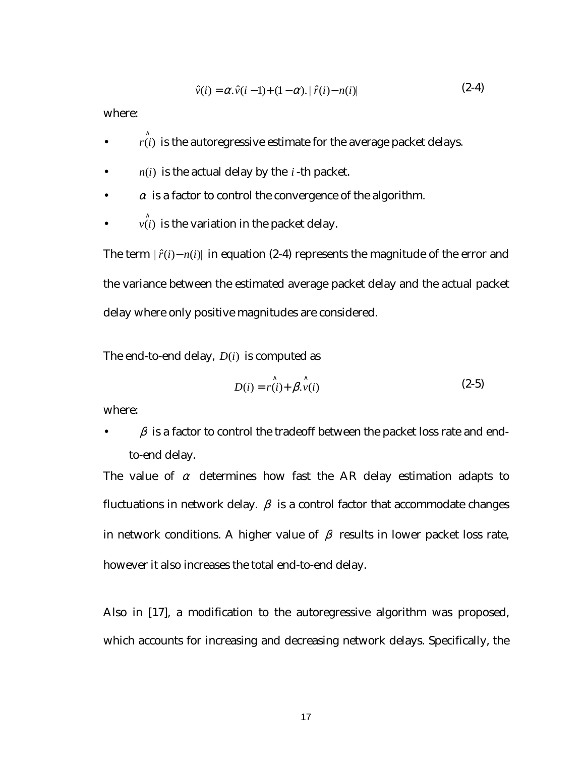$$
\hat{v}(i) = \alpha \cdot \hat{v}(i-1) + (1-\alpha) \cdot |\hat{r}(i) - n(i)| \tag{2-4}
$$

where:

- $\hat{r(i)}$  is the autoregressive estimate for the average packet delays.
- $n(i)$  is the actual delay by the *i*-th packet.
- $\alpha$  is a factor to control the convergence of the algorithm.
- $v(i)$  is the variation in the packet delay.

The term  $|\hat{r}(i) - n(i)|$  in equation (2-4) represents the magnitude of the error and the variance between the estimated average packet delay and the actual packet delay where only positive magnitudes are considered.

The end-to-end delay, *D*(*i*) is computed as

$$
D(i) = \hat{r(i)} + \hat{\beta \cdot v(i)} \tag{2-5}
$$

where:

 $\beta$  is a factor to control the tradeoff between the packet loss rate and endto-end delay.

The value of  $\alpha$  determines how fast the AR delay estimation adapts to fluctuations in network delay.  $\beta$  is a control factor that accommodate changes in network conditions. A higher value of  $\beta$  results in lower packet loss rate, however it also increases the total end-to-end delay.

Also in [17], a modification to the autoregressive algorithm was proposed, which accounts for increasing and decreasing network delays. Specifically, the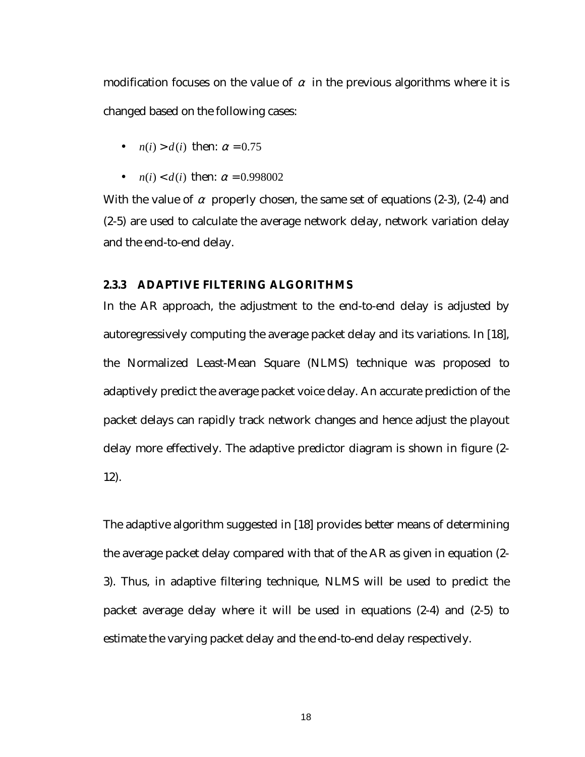modification focuses on the value of  $\alpha$  in the previous algorithms where it is changed based on the following cases:

- $n(i) > d(i)$  then:  $\alpha = 0.75$
- $n(i) < d(i)$  then:  $\alpha = 0.998002$

With the value of  $\alpha$  properly chosen, the same set of equations (2-3), (2-4) and (2-5) are used to calculate the average network delay, network variation delay and the end-to-end delay.

#### **2.3.3 ADAPTIVE FILTERING ALGORITHMS**

In the AR approach, the adjustment to the end-to-end delay is adjusted by autoregressively computing the average packet delay and its variations. In [18], the Normalized Least-Mean Square (NLMS) technique was proposed to adaptively predict the average packet voice delay. An accurate prediction of the packet delays can rapidly track network changes and hence adjust the playout delay more effectively. The adaptive predictor diagram is shown in figure (2- 12).

The adaptive algorithm suggested in [18] provides better means of determining the average packet delay compared with that of the AR as given in equation (2- 3). Thus, in adaptive filtering technique, NLMS will be used to predict the packet average delay where it will be used in equations (2-4) and (2-5) to estimate the varying packet delay and the end-to-end delay respectively.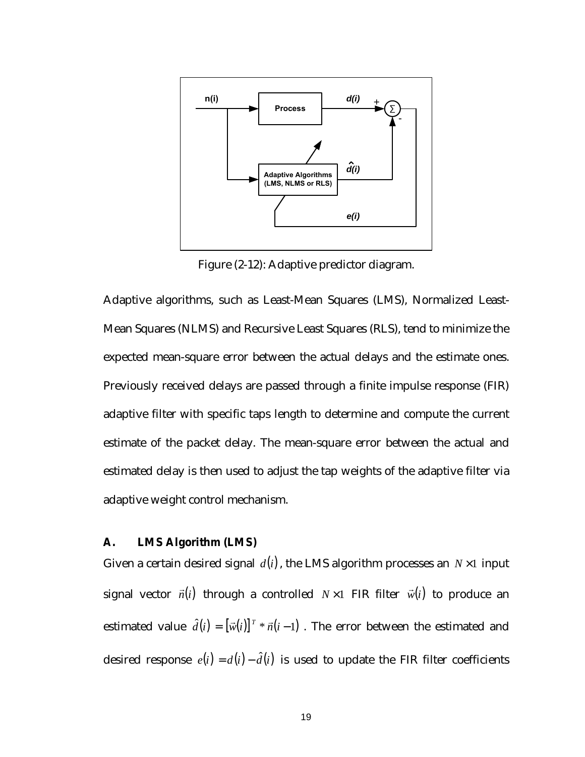

Figure (2-12): Adaptive predictor diagram.

Adaptive algorithms, such as Least-Mean Squares (LMS), Normalized Least-Mean Squares (NLMS) and Recursive Least Squares (RLS), tend to minimize the expected mean-square error between the actual delays and the estimate ones. Previously received delays are passed through a finite impulse response (FIR) adaptive filter with specific taps length to determine and compute the current estimate of the packet delay. The mean-square error between the actual and estimated delay is then used to adjust the tap weights of the adaptive filter via adaptive weight control mechanism.

#### **A. LMS Algorithm (LMS)**

Given a certain desired signal  $d(i)$ , the LMS algorithm processes an  $N \times 1$  input signal vector  $\vec{n}(i)$  through a controlled  $N \times 1$  FIR filter  $\vec{w}(i)$  to produce an estimated value  $\hat{d}(i) = [\vec{w}(i)]^T * \vec{n}(i-1)$ . The error between the estimated and desired response  $e(i) = d(i) - \hat{d}(i)$  is used to update the FIR filter coefficients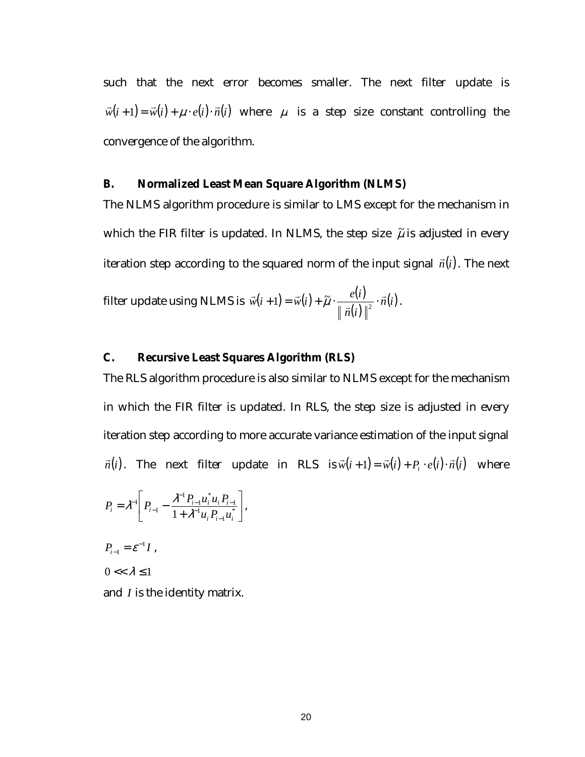such that the next error becomes smaller. The next filter update is  $\vec{w}(i+1) = \vec{w}(i) + \mu \cdot e(i) \cdot \vec{n}(i)$  where  $\mu$  is a step size constant controlling the convergence of the algorithm.

#### **B. Normalized Least Mean Square Algorithm (NLMS)**

The NLMS algorithm procedure is similar to LMS except for the mechanism in which the FIR filter is updated. In NLMS, the step size  $\tilde{\mu}$  is adjusted in every iteration step according to the squared norm of the input signal  $\vec{n}(i)$ . The next

filter update using NLMS is 
$$
\vec{w}(i+1) = \vec{w}(i) + \tilde{\mu} \cdot \frac{e(i)}{\|\vec{n}(i)\|^2} \cdot \vec{n}(i)
$$
.

#### **C. Recursive Least Squares Algorithm (RLS)**

The RLS algorithm procedure is also similar to NLMS except for the mechanism in which the FIR filter is updated. In RLS, the step size is adjusted in every iteration step according to more accurate variance estimation of the input signal  $\vec{n}(i)$ . The next filter update in RLS is  $\vec{w}(i+1) = \vec{w}(i) + P_i \cdot e(i) \cdot \vec{n}(i)$  where

$$
P_i = \lambda^{-1} \left[ P_{i-1} - \frac{\lambda^{-1} P_{i-1} u_i^* u_i P_{i-1}}{1 + \lambda^{-1} u_i P_{i-1} u_i^*} \right],
$$

$$
P_{i-1}=\varepsilon^{-1}I\ ,
$$

 $0 \ll \lambda \leq 1$ 

and *I* is the identity matrix.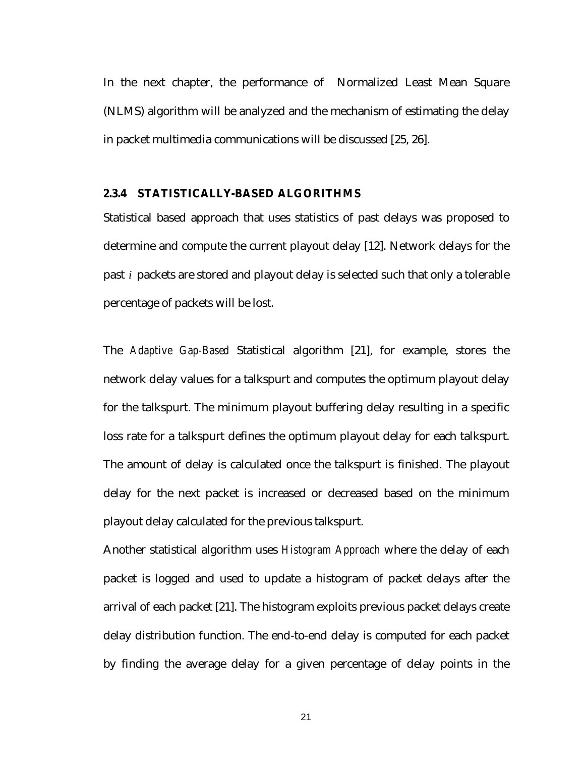In the next chapter, the performance of Normalized Least Mean Square (NLMS) algorithm will be analyzed and the mechanism of estimating the delay in packet multimedia communications will be discussed [25, 26].

#### **2.3.4 STATISTICALLY-BASED ALGORITHMS**

Statistical based approach that uses statistics of past delays was proposed to determine and compute the current playout delay [12]. Network delays for the past *i* packets are stored and playout delay is selected such that only a tolerable percentage of packets will be lost.

The *Adaptive Gap-Based* Statistical algorithm [21], for example, stores the network delay values for a talkspurt and computes the optimum playout delay for the talkspurt. The minimum playout buffering delay resulting in a specific loss rate for a talkspurt defines the optimum playout delay for each talkspurt. The amount of delay is calculated once the talkspurt is finished. The playout delay for the next packet is increased or decreased based on the minimum playout delay calculated for the previous talkspurt.

Another statistical algorithm uses *Histogram Approach* where the delay of each packet is logged and used to update a histogram of packet delays after the arrival of each packet [21]. The histogram exploits previous packet delays create delay distribution function. The end-to-end delay is computed for each packet by finding the average delay for a given percentage of delay points in the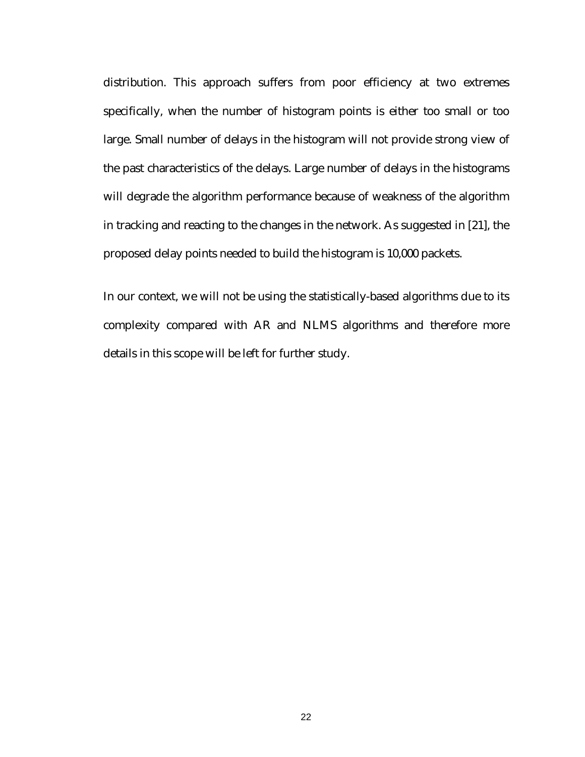distribution. This approach suffers from poor efficiency at two extremes specifically, when the number of histogram points is either too small or too large. Small number of delays in the histogram will not provide strong view of the past characteristics of the delays. Large number of delays in the histograms will degrade the algorithm performance because of weakness of the algorithm in tracking and reacting to the changes in the network. As suggested in [21], the proposed delay points needed to build the histogram is 10,000 packets.

In our context, we will not be using the statistically-based algorithms due to its complexity compared with AR and NLMS algorithms and therefore more details in this scope will be left for further study.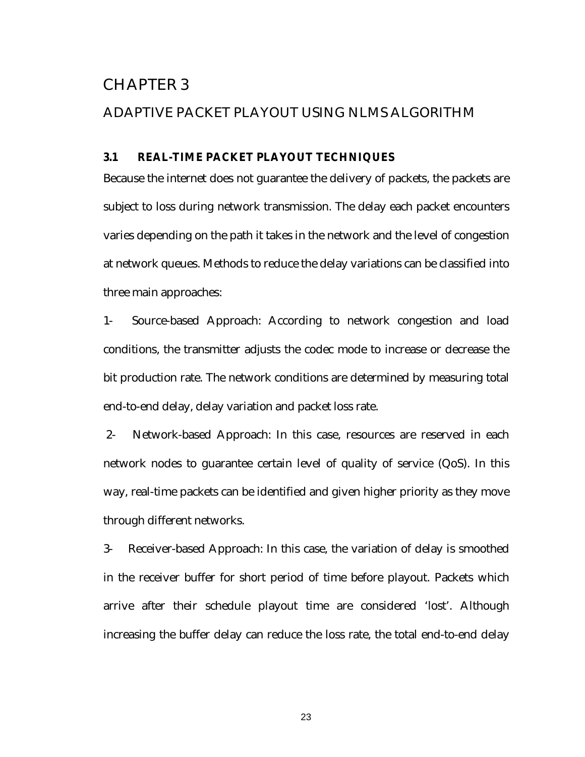## CHAPTER 3

#### ADAPTIVE PACKET PLAYOUT USING NLMS ALGORITHM

#### **3.1 REAL-TIME PACKET PLAYOUT TECHNIQUES**

Because the internet does not guarantee the delivery of packets, the packets are subject to loss during network transmission. The delay each packet encounters varies depending on the path it takes in the network and the level of congestion at network queues. Methods to reduce the delay variations can be classified into three main approaches:

1- Source-based Approach: According to network congestion and load conditions, the transmitter adjusts the codec mode to increase or decrease the bit production rate. The network conditions are determined by measuring total end-to-end delay, delay variation and packet loss rate.

 2- Network-based Approach: In this case, resources are reserved in each network nodes to guarantee certain level of quality of service (QoS). In this way, real-time packets can be identified and given higher priority as they move through different networks.

3- Receiver-based Approach: In this case, the variation of delay is smoothed in the receiver buffer for short period of time before playout. Packets which arrive after their schedule playout time are considered 'lost'. Although increasing the buffer delay can reduce the loss rate, the total end-to-end delay

23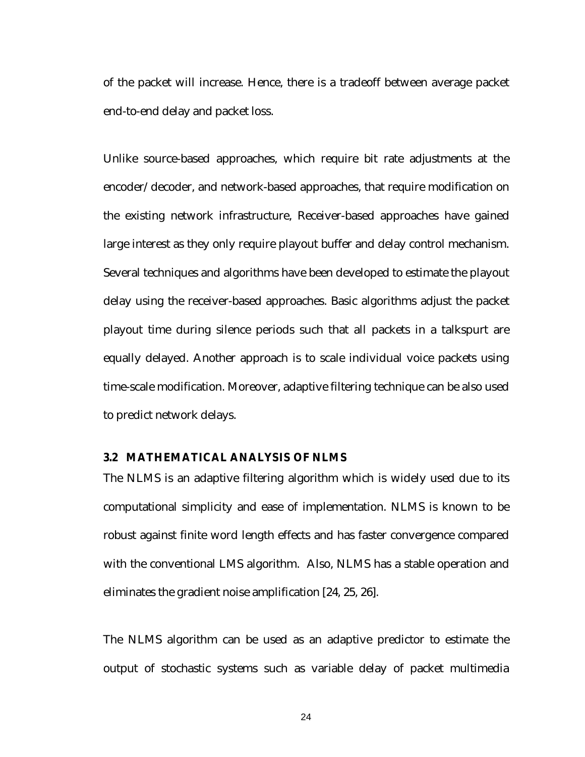of the packet will increase. Hence, there is a tradeoff between average packet end-to-end delay and packet loss.

Unlike source-based approaches, which require bit rate adjustments at the encoder/decoder, and network-based approaches, that require modification on the existing network infrastructure, Receiver-based approaches have gained large interest as they only require playout buffer and delay control mechanism. Several techniques and algorithms have been developed to estimate the playout delay using the receiver-based approaches. Basic algorithms adjust the packet playout time during silence periods such that all packets in a talkspurt are equally delayed. Another approach is to scale individual voice packets using time-scale modification. Moreover, adaptive filtering technique can be also used to predict network delays.

#### **3.2 MATHEMATICAL ANALYSIS OF NLMS**

The NLMS is an adaptive filtering algorithm which is widely used due to its computational simplicity and ease of implementation. NLMS is known to be robust against finite word length effects and has faster convergence compared with the conventional LMS algorithm. Also, NLMS has a stable operation and eliminates the gradient noise amplification [24, 25, 26].

The NLMS algorithm can be used as an adaptive predictor to estimate the output of stochastic systems such as variable delay of packet multimedia

24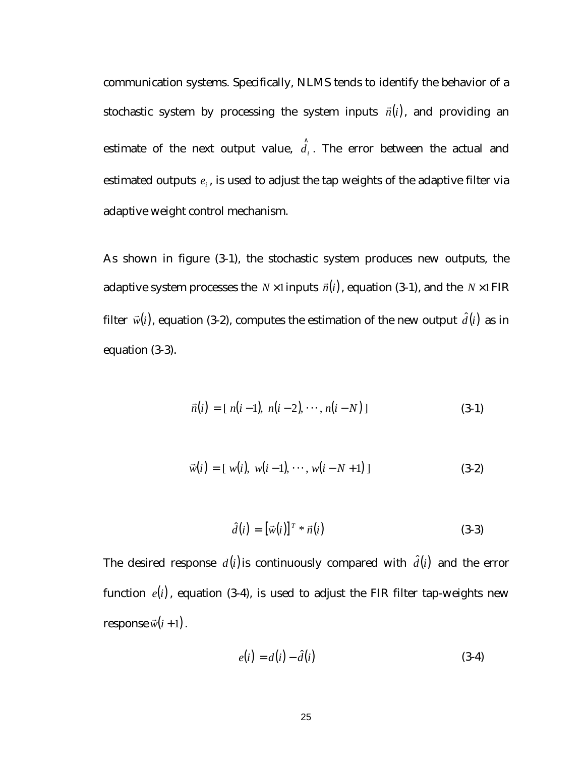communication systems. Specifically, NLMS tends to identify the behavior of a stochastic system by processing the system inputs  $\vec{n}(i)$ , and providing an estimate of the next output value,  $\hat{d}_i$ . The error between the actual and estimated outputs  $e_i$ , is used to adjust the tap weights of the adaptive filter via adaptive weight control mechanism.

As shown in figure (3-1), the stochastic system produces new outputs, the adaptive system processes the *N* ×1 inputs  $\vec{n}(i)$ , equation (3-1), and the *N* ×1 FIR filter  $\vec{w}(i)$ , equation (3-2), computes the estimation of the new output  $\hat{d}(i)$  as in equation (3-3).

$$
\vec{n}(i) = [n(i-1), n(i-2), \cdots, n(i-N)] \tag{3-1}
$$

$$
\vec{w}(i) = [w(i), w(i-1), \cdots, w(i-N+1)] \tag{3-2}
$$

$$
\hat{d}(i) = \left[\vec{w}(i)\right]^T * \vec{n}(i) \tag{3-3}
$$

The desired response  $d(i)$  is continuously compared with  $\hat{d}(i)$  and the error function  $e(i)$ , equation (3-4), is used to adjust the FIR filter tap-weights new response  $\vec{w}(i+1)$ .

$$
e(i) = d(i) - \hat{d}(i)
$$
\n
$$
(3-4)
$$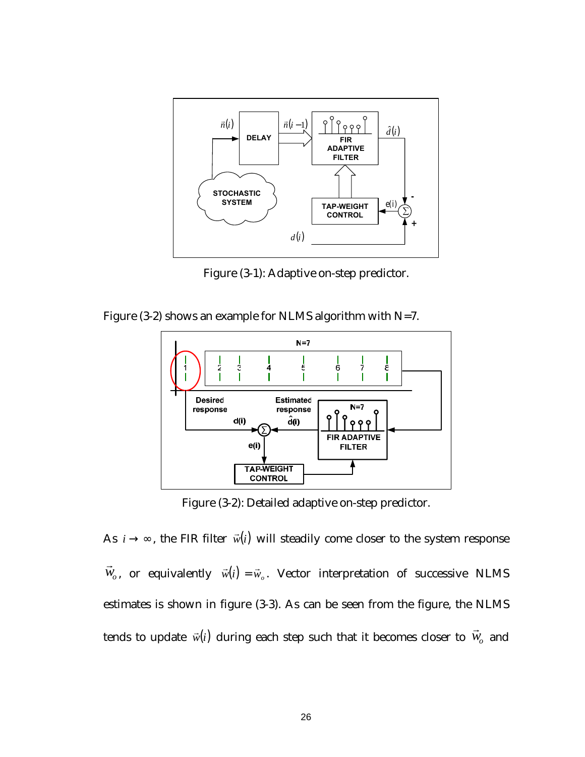

Figure (3-1): Adaptive on-step predictor.

Figure (3-2) shows an example for NLMS algorithm with N=7.



Figure (3-2): Detailed adaptive on-step predictor.

As  $i \rightarrow \infty$ , the FIR filter  $\vec{w}(i)$  will steadily come closer to the system response  $\vec{w}_o$ , or equivalently  $\vec{w}(i) = \vec{w}_o$ . Vector interpretation of successive NLMS estimates is shown in figure (3-3). As can be seen from the figure, the NLMS tends to update  $\vec{w}(i)$  during each step such that it becomes closer to  $\vec{w}_o$  and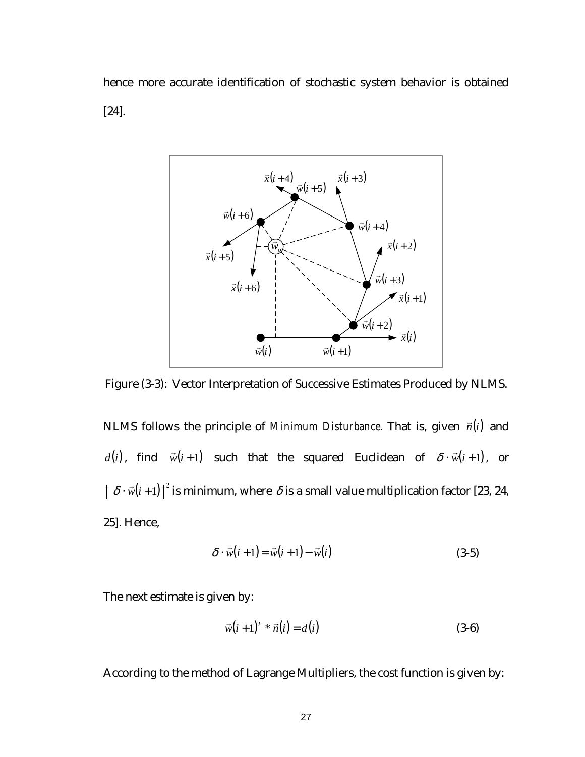hence more accurate identification of stochastic system behavior is obtained [24].



Figure (3-3): Vector Interpretation of Successive Estimates Produced by NLMS.

NLMS follows the principle of *Minimum Disturbance*. That is, given  $\vec{n}(i)$  and *d*(*i*), find  $\vec{w}(i+1)$  such that the squared Euclidean of  $\delta \cdot \vec{w}(i+1)$ , or  $\delta \cdot \vec{w}(i+1) \rVert^2$  is minimum, where  $\delta$  is a small value multiplication factor [23, 24, 25]. Hence,

$$
\delta \cdot \vec{w}(i+1) = \vec{w}(i+1) - \vec{w}(i)
$$
\n(3-5)

The next estimate is given by:

$$
\vec{w}(i+1)^{T} * \vec{n}(i) = d(i)
$$
 (3-6)

According to the method of Lagrange Multipliers, the cost function is given by: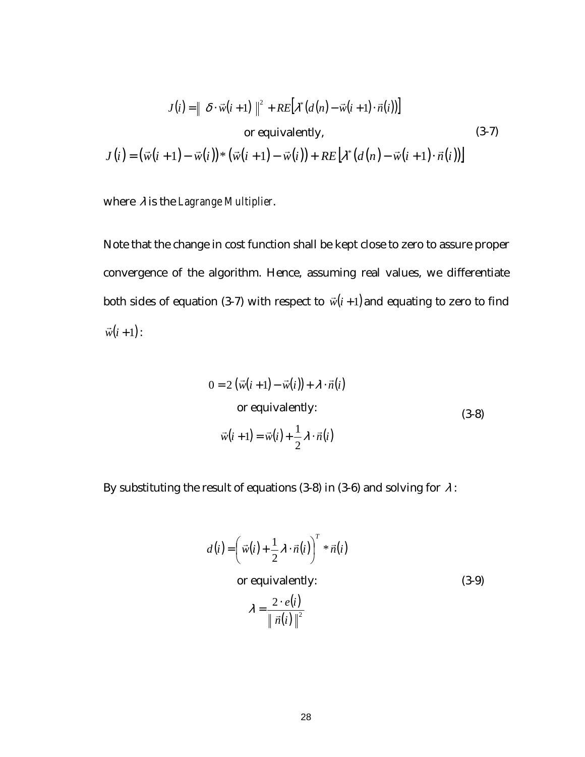$$
J(i) = || \delta \cdot \vec{w}(i+1) ||^2 + RE[\lambda^*(d(n) - \vec{w}(i+1) \cdot \vec{n}(i))]
$$
  
or equivalently,  

$$
J(i) = (\vec{w}(i+1) - \vec{w}(i)) * (\vec{w}(i+1) - \vec{w}(i)) + RE[\lambda^*(d(n) - \vec{w}(i+1) \cdot \vec{n}(i))]
$$
(3-7)

where λ is the *Lagrange Multiplier*.

Note that the change in cost function shall be kept close to zero to assure proper convergence of the algorithm. Hence, assuming real values, we differentiate both sides of equation (3-7) with respect to  $\vec{w}(i+1)$  and equating to zero to find  $\vec{w}(i+1)$ :

$$
0 = 2 (\vec{w}(i+1) - \vec{w}(i)) + \lambda \cdot \vec{n}(i)
$$
  
or equivalently:  

$$
\vec{w}(i+1) = \vec{w}(i) + \frac{1}{2} \lambda \cdot \vec{n}(i)
$$
 (3-8)

By substituting the result of equations (3-8) in (3-6) and solving for  $\lambda$ :

$$
d(i) = \left(\vec{w}(i) + \frac{1}{2}\lambda \cdot \vec{n}(i)\right)^{T} * \vec{n}(i)
$$
  
or equivalently:

(3-9)

$$
\lambda = \frac{2 \cdot e(i)}{\|\vec{n}(i)\|^2}
$$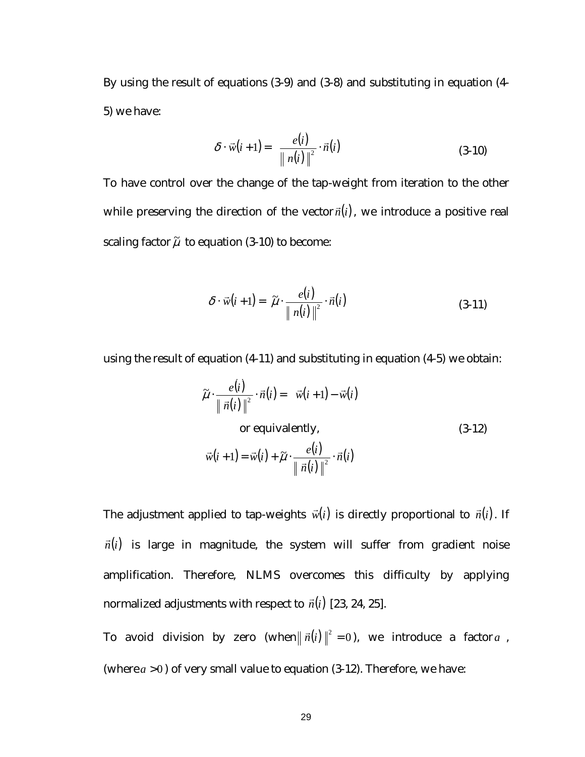By using the result of equations (3-9) and (3-8) and substituting in equation (4- 5) we have:

$$
\delta \cdot \vec{w}(i+1) = \frac{e(i)}{\|n(i)\|^2} \cdot \vec{n}(i)
$$
\n(3-10)

To have control over the change of the tap-weight from iteration to the other while preserving the direction of the vector  $\vec{n}(i)$ , we introduce a positive real scaling factor  $\tilde{\mu}$  to equation (3-10) to become:

$$
\delta \cdot \vec{w}(i+1) = \tilde{\mu} \cdot \frac{e(i)}{\|n(i)\|^2} \cdot \vec{n}(i)
$$
\n(3-11)

using the result of equation (4-11) and substituting in equation (4-5) we obtain:

$$
\tilde{\mu} \cdot \frac{e(i)}{\|\vec{n}(i)\|^2} \cdot \vec{n}(i) = \vec{w}(i+1) - \vec{w}(i)
$$
  
or equivalently,  

$$
\vec{w}(i+1) = \vec{w}(i) + \tilde{\mu} \cdot \frac{e(i)}{\|\vec{n}(i)\|^2} \cdot \vec{n}(i)
$$
 (3-12)

The adjustment applied to tap-weights  $\vec{w}(i)$  is directly proportional to  $\vec{n}(i)$ . If  $\vec{n}(i)$  is large in magnitude, the system will suffer from gradient noise amplification. Therefore, NLMS overcomes this difficulty by applying normalized adjustments with respect to  $\vec{n}(i)$  [23, 24, 25].

To avoid division by zero (when $\|\vec{n}(i)\|^2 = 0$ ), we introduce a factor *a*, (where  $a > 0$ ) of very small value to equation  $(3-12)$ . Therefore, we have: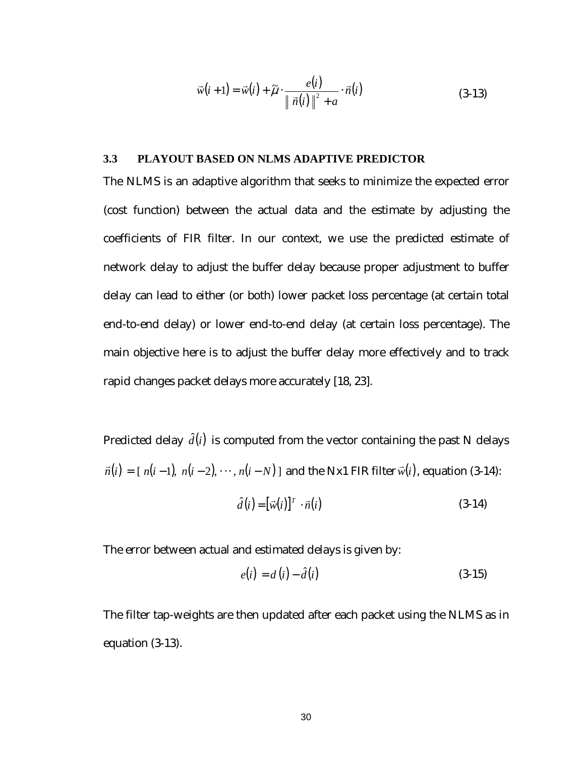$$
\vec{w}(i+1) = \vec{w}(i) + \widetilde{\mu} \cdot \frac{e(i)}{\|\vec{n}(i)\|^2 + a} \cdot \vec{n}(i)
$$
\n(3-13)

#### **3.3 PLAYOUT BASED ON NLMS ADAPTIVE PREDICTOR**

The NLMS is an adaptive algorithm that seeks to minimize the expected error (cost function) between the actual data and the estimate by adjusting the coefficients of FIR filter. In our context, we use the predicted estimate of network delay to adjust the buffer delay because proper adjustment to buffer delay can lead to either (or both) lower packet loss percentage (at certain total end-to-end delay) or lower end-to-end delay (at certain loss percentage). The main objective here is to adjust the buffer delay more effectively and to track rapid changes packet delays more accurately [18, 23].

Predicted delay  $\hat{d}(i)$  is computed from the vector containing the past N delays  $\vec{n}(i) = [n(i-1), n(i-2), \dots, n(i-N)]$  and the Nx1 FIR filter  $\vec{w}(i)$ , equation (3-14):

$$
\hat{d}(i) = [\vec{w}(i)]^T \cdot \vec{n}(i)
$$
\n(3-14)

The error between actual and estimated delays is given by:

$$
e(i) = d(i) - \hat{d}(i)
$$
\n
$$
(3-15)
$$

The filter tap-weights are then updated after each packet using the NLMS as in equation (3-13).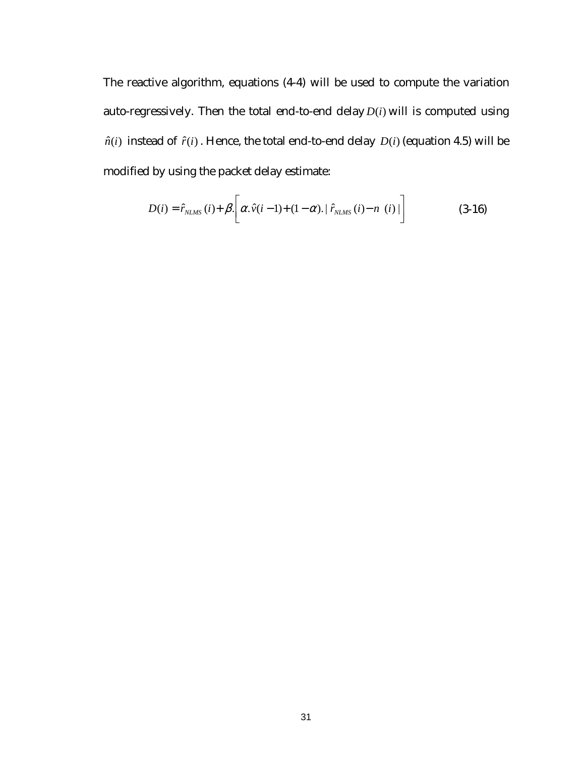The reactive algorithm, equations (4-4) will be used to compute the variation auto-regressively. Then the total end-to-end delay *D*(*i*) will is computed using  $\hat{n}(i)$  instead of  $\hat{r}(i)$ . Hence, the total end-to-end delay  $D(i)$  (equation 4.5) will be modified by using the packet delay estimate:

$$
D(i) = \hat{r}_{NLMS}(i) + \beta \left[ \alpha \cdot \hat{v}(i-1) + (1-\alpha) \cdot | \hat{r}_{NLMS}(i) - n(i) | \right] \tag{3-16}
$$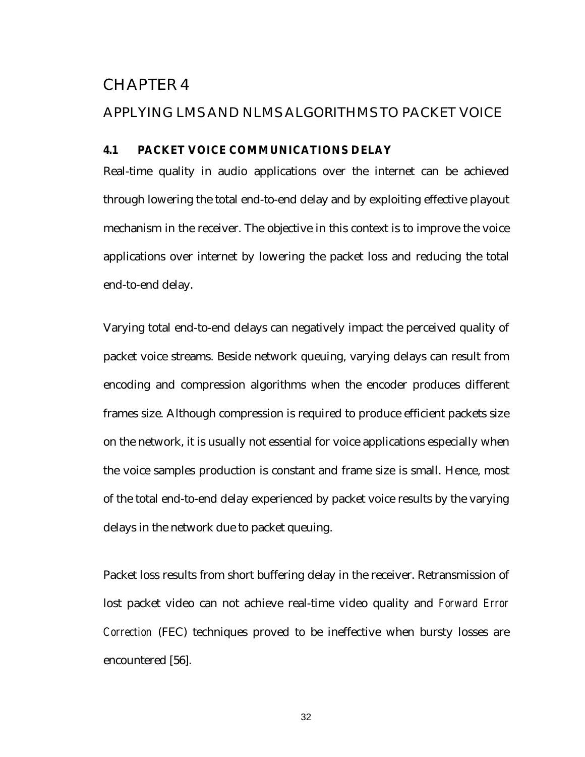## CHAPTER 4

## APPLYING LMS AND NLMS ALGORITHMS TO PACKET VOICE

## **4.1 PACKET VOICE COMMUNICATIONS DELAY**

Real-time quality in audio applications over the internet can be achieved through lowering the total end-to-end delay and by exploiting effective playout mechanism in the receiver. The objective in this context is to improve the voice applications over internet by lowering the packet loss and reducing the total end-to-end delay.

Varying total end-to-end delays can negatively impact the perceived quality of packet voice streams. Beside network queuing, varying delays can result from encoding and compression algorithms when the encoder produces different frames size. Although compression is required to produce efficient packets size on the network, it is usually not essential for voice applications especially when the voice samples production is constant and frame size is small. Hence, most of the total end-to-end delay experienced by packet voice results by the varying delays in the network due to packet queuing.

Packet loss results from short buffering delay in the receiver. Retransmission of lost packet video can not achieve real-time video quality and *Forward Error Correction* (FEC) techniques proved to be ineffective when bursty losses are encountered [56].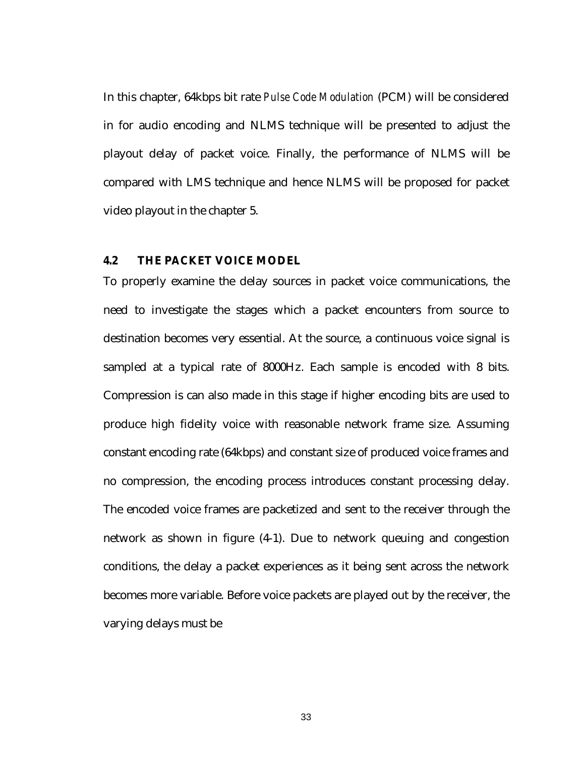In this chapter, 64kbps bit rate *Pulse Code Modulation* (PCM) will be considered in for audio encoding and NLMS technique will be presented to adjust the playout delay of packet voice. Finally, the performance of NLMS will be compared with LMS technique and hence NLMS will be proposed for packet video playout in the chapter 5.

## **4.2 THE PACKET VOICE MODEL**

To properly examine the delay sources in packet voice communications, the need to investigate the stages which a packet encounters from source to destination becomes very essential. At the source, a continuous voice signal is sampled at a typical rate of 8000Hz. Each sample is encoded with 8 bits. Compression is can also made in this stage if higher encoding bits are used to produce high fidelity voice with reasonable network frame size. Assuming constant encoding rate (64kbps) and constant size of produced voice frames and no compression, the encoding process introduces constant processing delay. The encoded voice frames are packetized and sent to the receiver through the network as shown in figure (4-1). Due to network queuing and congestion conditions, the delay a packet experiences as it being sent across the network becomes more variable. Before voice packets are played out by the receiver, the varying delays must be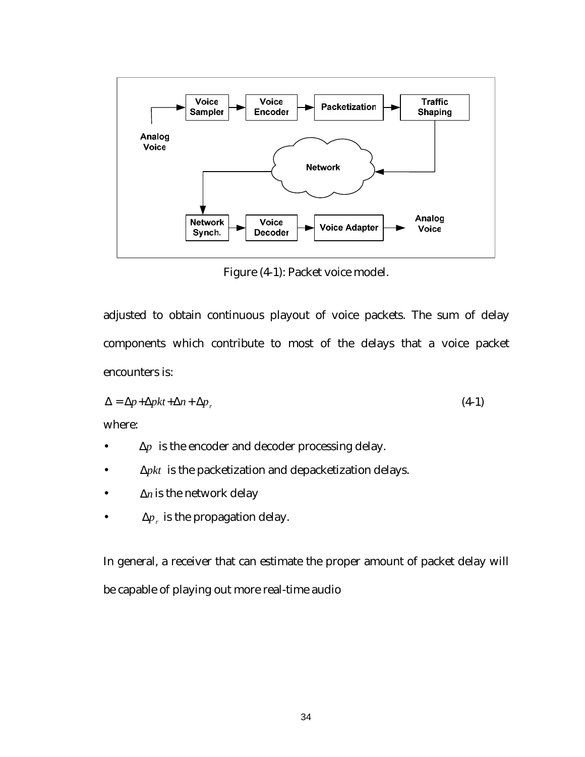

Figure (4-1): Packet voice model.

adjusted to obtain continuous playout of voice packets. The sum of delay components which contribute to most of the delays that a voice packet encounters is:

$$
\Delta = \Delta p + \Delta p k t + \Delta n + \Delta p_r \tag{4-1}
$$

where:

- ∆*p* is the encoder and decoder processing delay.
- ∆*pkt* is the packetization and depacketization delays.
- ∆*n* is the network delay
- $Δp<sub>r</sub>$  is the propagation delay.

In general, a receiver that can estimate the proper amount of packet delay will be capable of playing out more real-time audio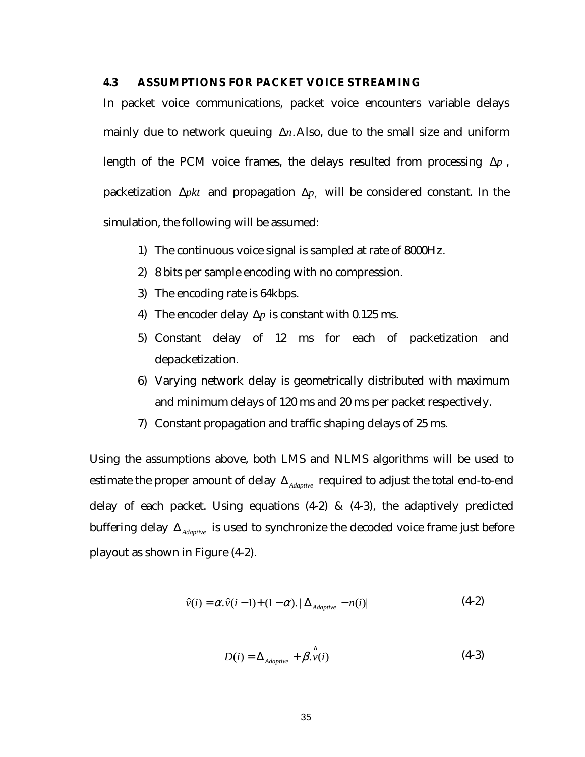#### **4.3 ASSUMPTIONS FOR PACKET VOICE STREAMING**

In packet voice communications, packet voice encounters variable delays mainly due to network queuing ∆*n*.Also, due to the small size and uniform length of the PCM voice frames, the delays resulted from processing ∆*p* , packetization *∆pkt* and propagation *∆p<sub>r</sub>* will be considered constant. In the simulation, the following will be assumed:

- 1) The continuous voice signal is sampled at rate of 8000Hz.
- 2) 8 bits per sample encoding with no compression.
- 3) The encoding rate is 64kbps.
- 4) The encoder delay ∆*p* is constant with 0.125 ms.
- 5) Constant delay of 12 ms for each of packetization and depacketization.
- 6) Varying network delay is geometrically distributed with maximum and minimum delays of 120 ms and 20 ms per packet respectively.
- 7) Constant propagation and traffic shaping delays of 25 ms.

Using the assumptions above, both LMS and NLMS algorithms will be used to estimate the proper amount of delay ∆*Adaptive* required to adjust the total end-to-end delay of each packet. Using equations (4-2) & (4-3), the adaptively predicted buffering delay ∆*Adaptive* is used to synchronize the decoded voice frame just before playout as shown in Figure (4-2).

$$
\hat{v}(i) = \alpha \cdot \hat{v}(i-1) + (1-\alpha) \cdot |\Delta_{Adaptive} - n(i)| \tag{4-2}
$$

$$
D(i) = \Delta_{Adaptive} + \hat{\beta}_{\cdot} \hat{v}(i)
$$
 (4-3)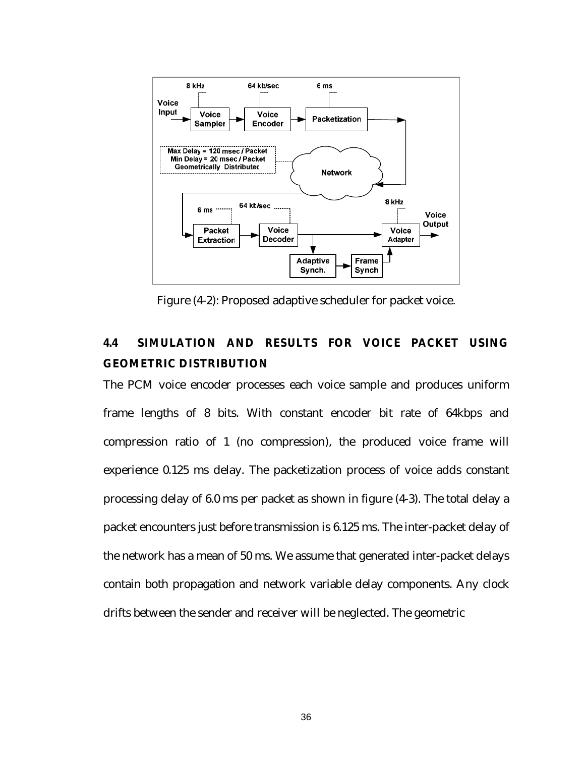

Figure (4-2): Proposed adaptive scheduler for packet voice.

# **4.4 SIMULATION AND RESULTS FOR VOICE PACKET USING GEOMETRIC DISTRIBUTION**

The PCM voice encoder processes each voice sample and produces uniform frame lengths of 8 bits. With constant encoder bit rate of 64kbps and compression ratio of 1 (no compression), the produced voice frame will experience 0.125 ms delay. The packetization process of voice adds constant processing delay of 6.0 ms per packet as shown in figure (4-3). The total delay a packet encounters just before transmission is 6.125 ms. The inter-packet delay of the network has a mean of 50 ms. We assume that generated inter-packet delays contain both propagation and network variable delay components. Any clock drifts between the sender and receiver will be neglected. The geometric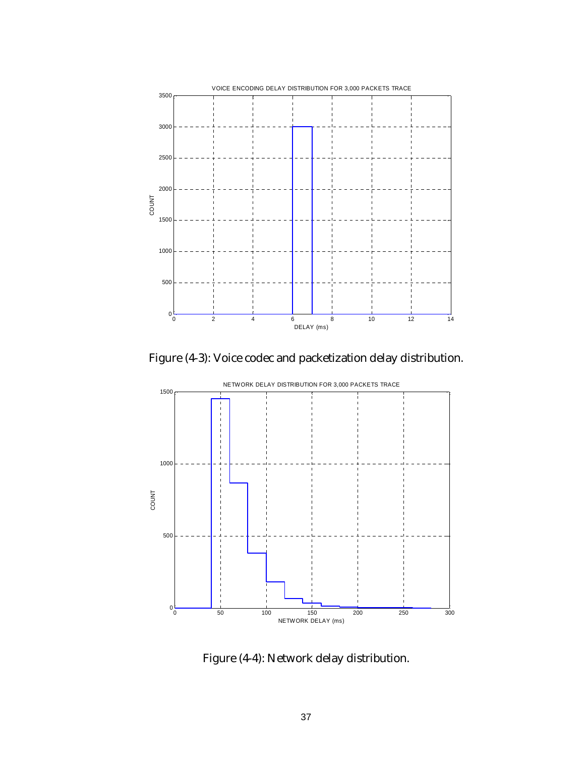

Figure (4-3): Voice codec and packetization delay distribution.



Figure (4-4): Network delay distribution.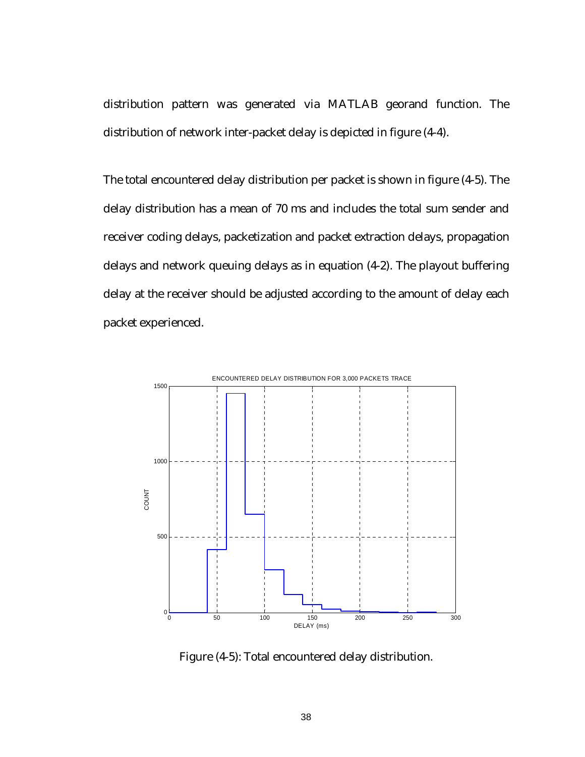distribution pattern was generated via MATLAB georand function. The distribution of network inter-packet delay is depicted in figure (4-4).

The total encountered delay distribution per packet is shown in figure (4-5). The delay distribution has a mean of 70 ms and includes the total sum sender and receiver coding delays, packetization and packet extraction delays, propagation delays and network queuing delays as in equation (4-2). The playout buffering delay at the receiver should be adjusted according to the amount of delay each packet experienced.



Figure (4-5): Total encountered delay distribution.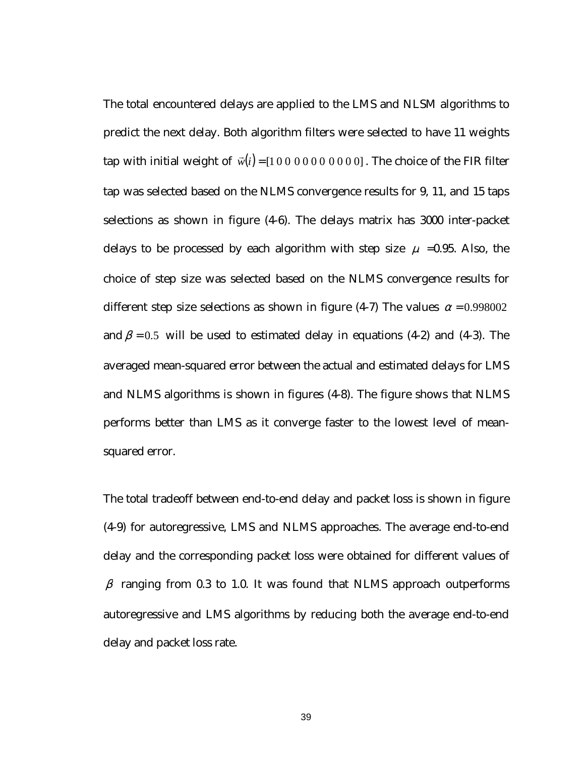The total encountered delays are applied to the LMS and NLSM algorithms to predict the next delay. Both algorithm filters were selected to have 11 weights tap with initial weight of  $\vec{w}(i) = [10000000000]$ . The choice of the FIR filter tap was selected based on the NLMS convergence results for 9, 11, and 15 taps selections as shown in figure (4-6). The delays matrix has 3000 inter-packet delays to be processed by each algorithm with step size  $\mu$  =0.95. Also, the choice of step size was selected based on the NLMS convergence results for different step size selections as shown in figure (4-7) The values  $\alpha = 0.998002$ and  $\beta$  = 0.5 will be used to estimated delay in equations (4-2) and (4-3). The averaged mean-squared error between the actual and estimated delays for LMS and NLMS algorithms is shown in figures (4-8). The figure shows that NLMS performs better than LMS as it converge faster to the lowest level of meansquared error.

The total tradeoff between end-to-end delay and packet loss is shown in figure (4-9) for autoregressive, LMS and NLMS approaches. The average end-to-end delay and the corresponding packet loss were obtained for different values of  $\beta$  ranging from 0.3 to 1.0. It was found that NLMS approach outperforms autoregressive and LMS algorithms by reducing both the average end-to-end delay and packet loss rate.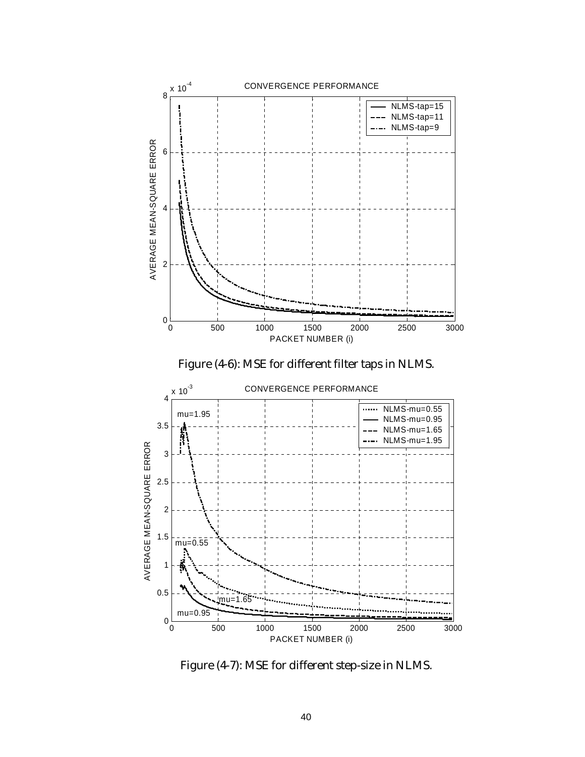





Figure (4-7): MSE for different step-size in NLMS.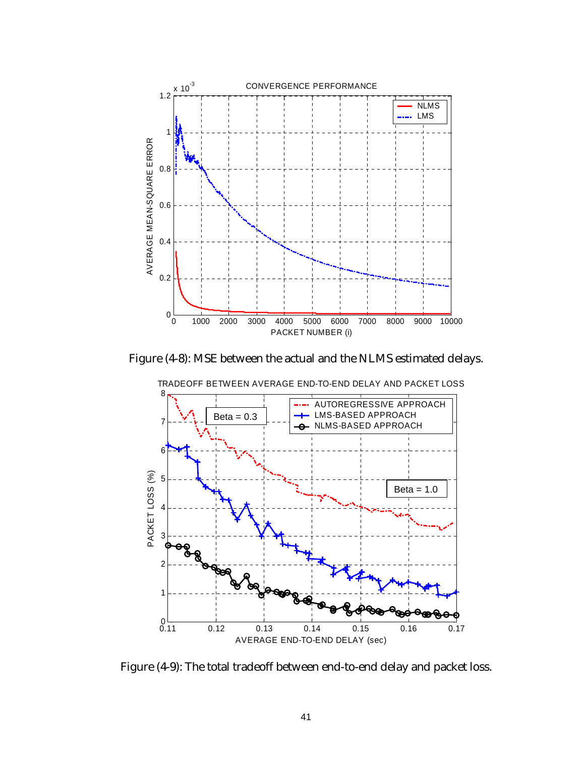

Figure (4-8): MSE between the actual and the NLMS estimated delays.



TRADEOFF BETWEEN AVERAGE END-TO-END DELAY AND PACKET LOSS

Figure (4-9): The total tradeoff between end-to-end delay and packet loss.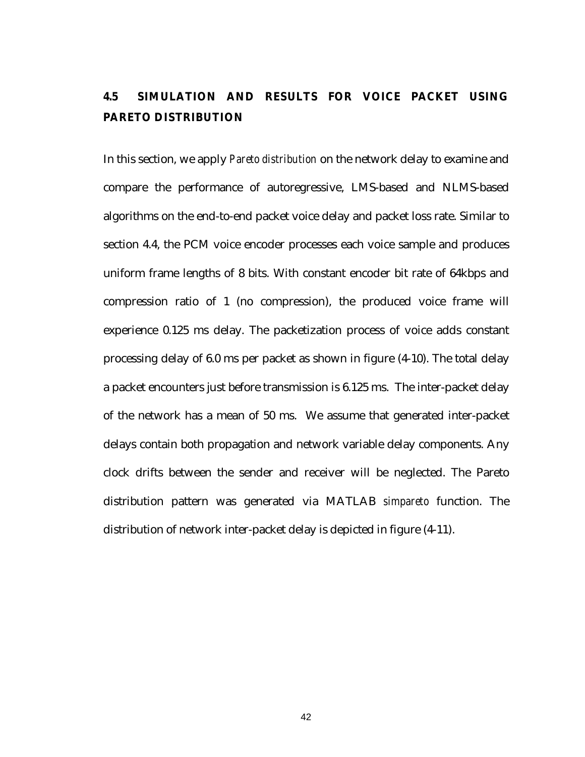# **4.5 SIMULATION AND RESULTS FOR VOICE PACKET USING PARETO DISTRIBUTION**

In this section, we apply *Pareto distribution* on the network delay to examine and compare the performance of autoregressive, LMS-based and NLMS-based algorithms on the end-to-end packet voice delay and packet loss rate. Similar to section 4.4, the PCM voice encoder processes each voice sample and produces uniform frame lengths of 8 bits. With constant encoder bit rate of 64kbps and compression ratio of 1 (no compression), the produced voice frame will experience 0.125 ms delay. The packetization process of voice adds constant processing delay of 6.0 ms per packet as shown in figure (4-10). The total delay a packet encounters just before transmission is 6.125 ms. The inter-packet delay of the network has a mean of 50 ms. We assume that generated inter-packet delays contain both propagation and network variable delay components. Any clock drifts between the sender and receiver will be neglected. The Pareto distribution pattern was generated via MATLAB *simpareto* function. The distribution of network inter-packet delay is depicted in figure (4-11).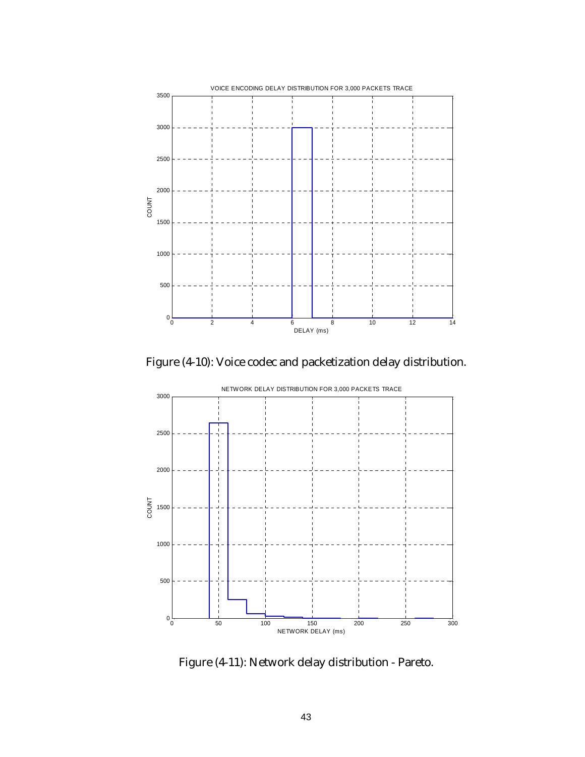

Figure (4-10): Voice codec and packetization delay distribution.



Figure (4-11): Network delay distribution - Pareto.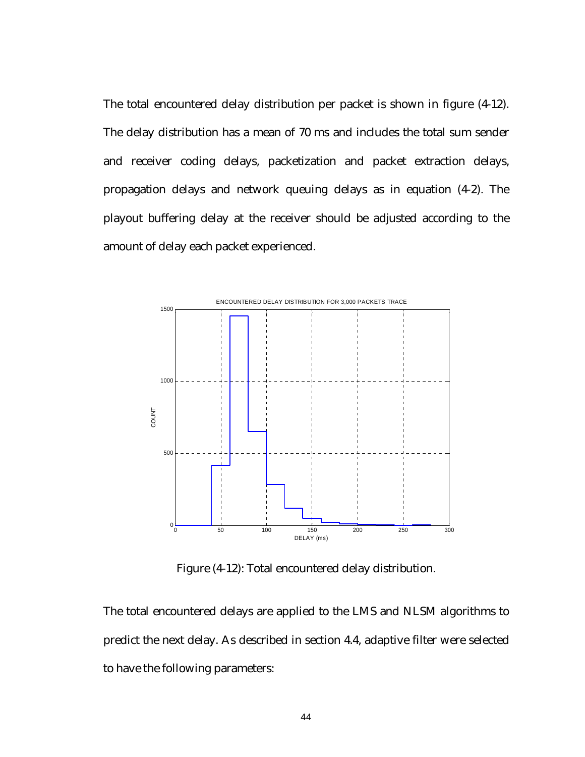The total encountered delay distribution per packet is shown in figure (4-12). The delay distribution has a mean of 70 ms and includes the total sum sender and receiver coding delays, packetization and packet extraction delays, propagation delays and network queuing delays as in equation (4-2). The playout buffering delay at the receiver should be adjusted according to the amount of delay each packet experienced.



Figure (4-12): Total encountered delay distribution.

The total encountered delays are applied to the LMS and NLSM algorithms to predict the next delay. As described in section 4.4, adaptive filter were selected to have the following parameters: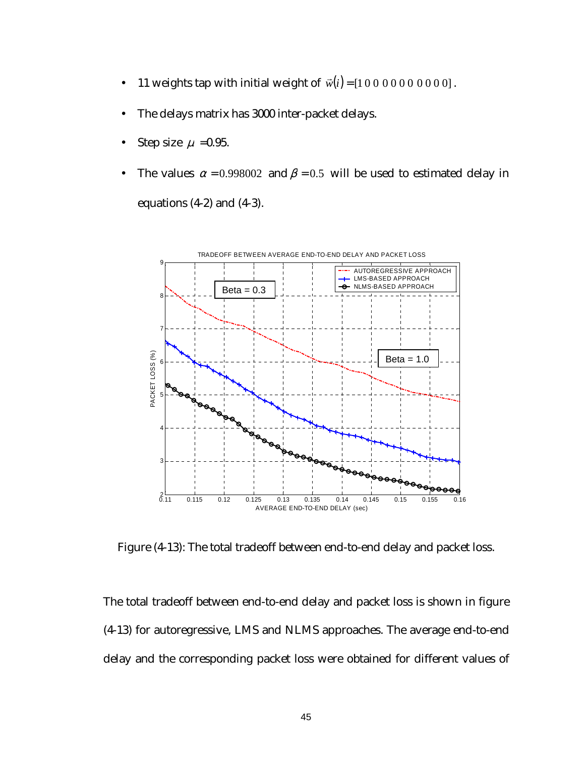- 11 weights tap with initial weight of  $\vec{w}(i) = [10000000000]$ .
- The delays matrix has 3000 inter-packet delays.
- Step size  $\mu$  =0.95.
- The values  $\alpha = 0.998002$  and  $\beta = 0.5$  will be used to estimated delay in equations  $(4-2)$  and  $(4-3)$ .



Figure (4-13): The total tradeoff between end-to-end delay and packet loss.

The total tradeoff between end-to-end delay and packet loss is shown in figure (4-13) for autoregressive, LMS and NLMS approaches. The average end-to-end delay and the corresponding packet loss were obtained for different values of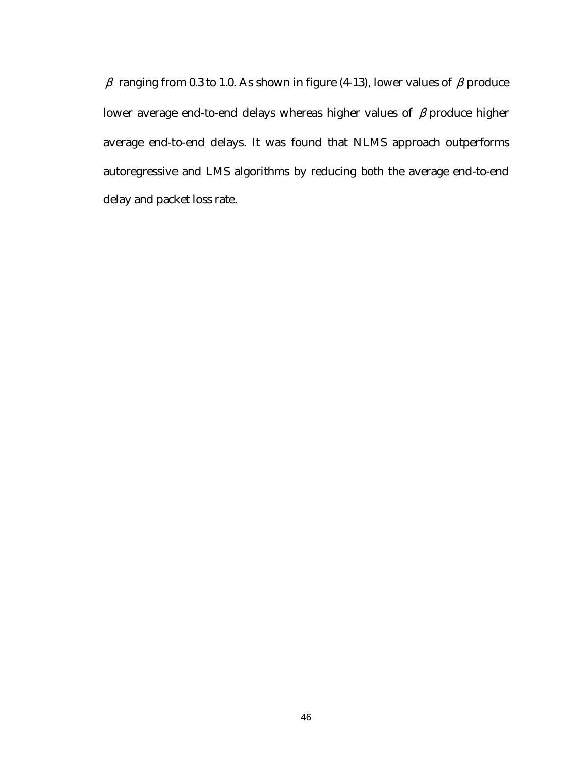$β$  ranging from 0.3 to 1.0. As shown in figure (4-13), lower values of  $β$  produce lower average end-to-end delays whereas higher values of  $\beta$  produce higher average end-to-end delays. It was found that NLMS approach outperforms autoregressive and LMS algorithms by reducing both the average end-to-end delay and packet loss rate.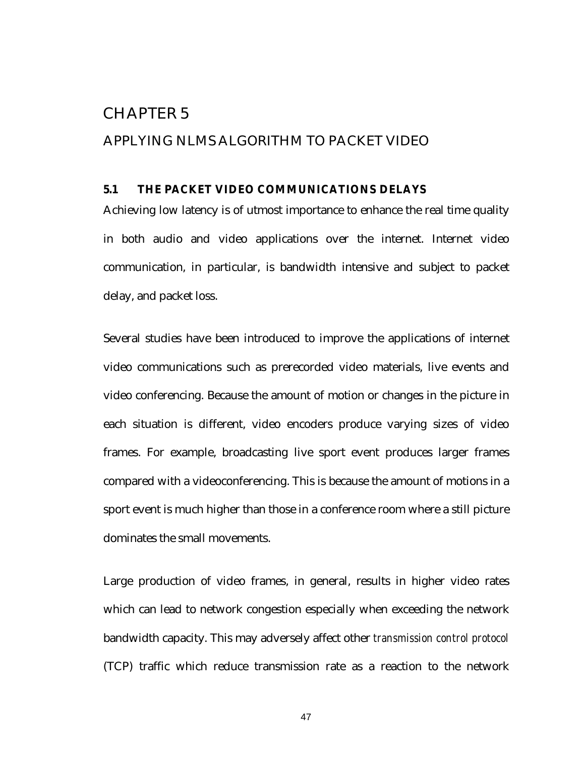## CHAPTER 5

## APPLYING NLMS ALGORITHM TO PACKET VIDEO

## **5.1 THE PACKET VIDEO COMMUNICATIONS DELAYS**

Achieving low latency is of utmost importance to enhance the real time quality in both audio and video applications over the internet. Internet video communication, in particular, is bandwidth intensive and subject to packet delay, and packet loss.

Several studies have been introduced to improve the applications of internet video communications such as prerecorded video materials, live events and video conferencing. Because the amount of motion or changes in the picture in each situation is different, video encoders produce varying sizes of video frames. For example, broadcasting live sport event produces larger frames compared with a videoconferencing. This is because the amount of motions in a sport event is much higher than those in a conference room where a still picture dominates the small movements.

Large production of video frames, in general, results in higher video rates which can lead to network congestion especially when exceeding the network bandwidth capacity. This may adversely affect other *transmission control protocol* (TCP) traffic which reduce transmission rate as a reaction to the network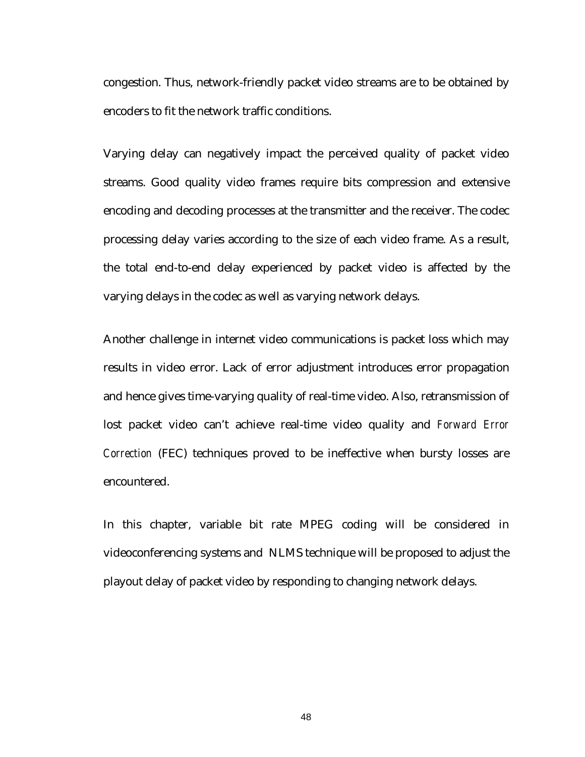congestion. Thus, network-friendly packet video streams are to be obtained by encoders to fit the network traffic conditions.

Varying delay can negatively impact the perceived quality of packet video streams. Good quality video frames require bits compression and extensive encoding and decoding processes at the transmitter and the receiver. The codec processing delay varies according to the size of each video frame. As a result, the total end-to-end delay experienced by packet video is affected by the varying delays in the codec as well as varying network delays.

Another challenge in internet video communications is packet loss which may results in video error. Lack of error adjustment introduces error propagation and hence gives time-varying quality of real-time video. Also, retransmission of lost packet video can't achieve real-time video quality and *Forward Error Correction* (FEC) techniques proved to be ineffective when bursty losses are encountered.

In this chapter, variable bit rate MPEG coding will be considered in videoconferencing systems and NLMS technique will be proposed to adjust the playout delay of packet video by responding to changing network delays.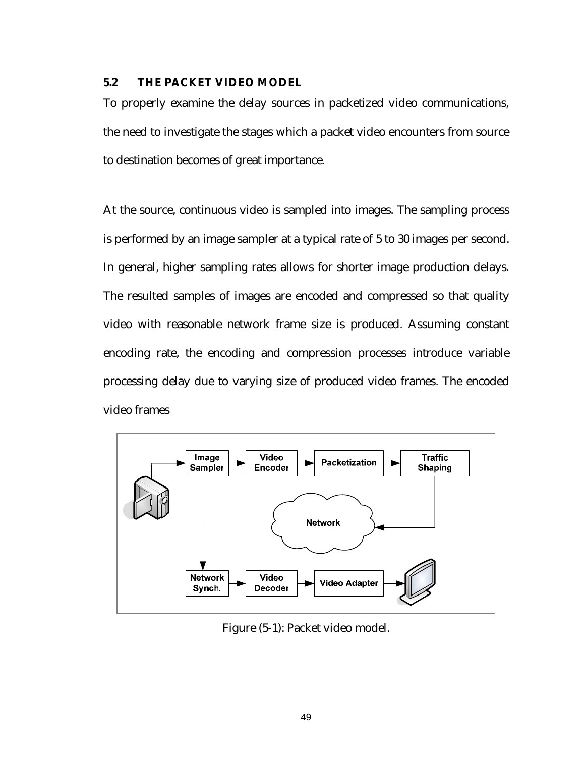#### **5.2 THE PACKET VIDEO MODEL**

To properly examine the delay sources in packetized video communications, the need to investigate the stages which a packet video encounters from source to destination becomes of great importance.

At the source, continuous video is sampled into images. The sampling process is performed by an image sampler at a typical rate of 5 to 30 images per second. In general, higher sampling rates allows for shorter image production delays. The resulted samples of images are encoded and compressed so that quality video with reasonable network frame size is produced. Assuming constant encoding rate, the encoding and compression processes introduce variable processing delay due to varying size of produced video frames. The encoded video frames



Figure (5-1): Packet video model.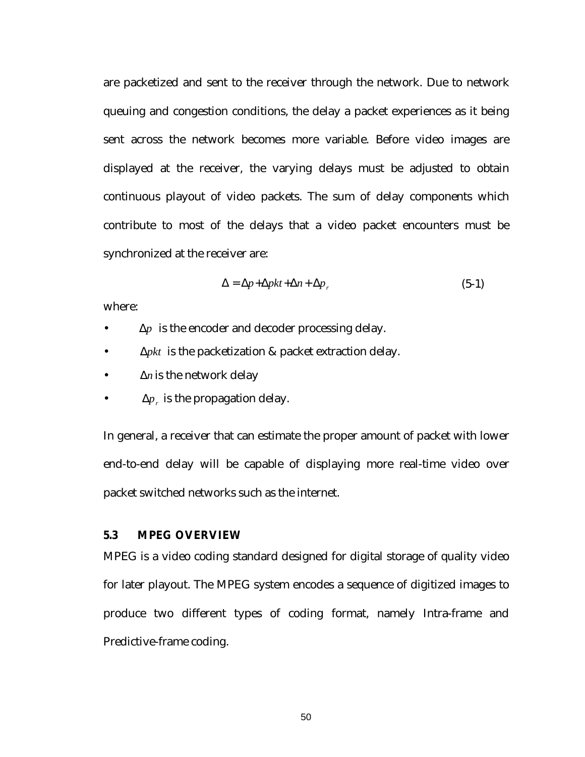are packetized and sent to the receiver through the network. Due to network queuing and congestion conditions, the delay a packet experiences as it being sent across the network becomes more variable. Before video images are displayed at the receiver, the varying delays must be adjusted to obtain continuous playout of video packets. The sum of delay components which contribute to most of the delays that a video packet encounters must be synchronized at the receiver are:

$$
\Delta = \Delta p + \Delta p k t + \Delta n + \Delta p_r \tag{5-1}
$$

where:

- ∆*p* is the encoder and decoder processing delay.
- ∆*pkt* is the packetization & packet extraction delay.
- ∆*n* is the network delay
- $Δp<sub>r</sub>$  is the propagation delay.

In general, a receiver that can estimate the proper amount of packet with lower end-to-end delay will be capable of displaying more real-time video over packet switched networks such as the internet.

#### **5.3 MPEG OVERVIEW**

MPEG is a video coding standard designed for digital storage of quality video for later playout. The MPEG system encodes a sequence of digitized images to produce two different types of coding format, namely Intra-frame and Predictive-frame coding.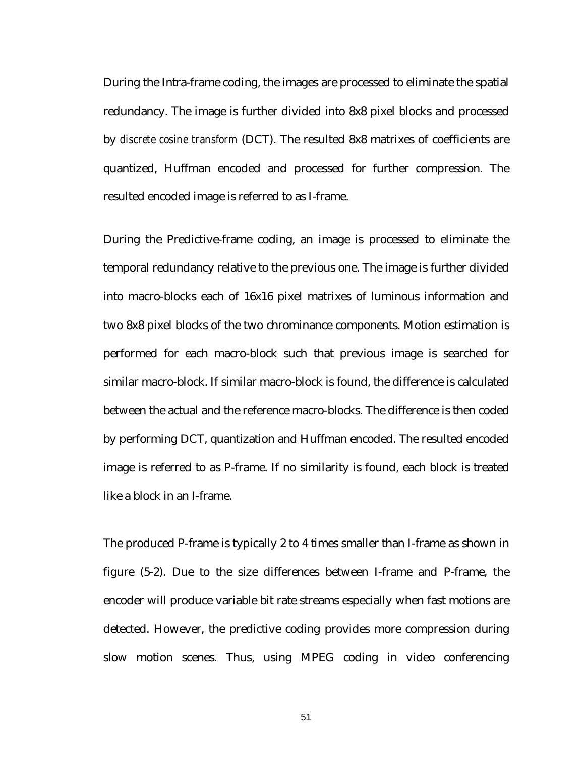During the Intra-frame coding, the images are processed to eliminate the spatial redundancy. The image is further divided into 8x8 pixel blocks and processed by *discrete cosine transform* (DCT). The resulted 8x8 matrixes of coefficients are quantized, Huffman encoded and processed for further compression. The resulted encoded image is referred to as I-frame.

During the Predictive-frame coding, an image is processed to eliminate the temporal redundancy relative to the previous one. The image is further divided into macro-blocks each of 16x16 pixel matrixes of luminous information and two 8x8 pixel blocks of the two chrominance components. Motion estimation is performed for each macro-block such that previous image is searched for similar macro-block. If similar macro-block is found, the difference is calculated between the actual and the reference macro-blocks. The difference is then coded by performing DCT, quantization and Huffman encoded. The resulted encoded image is referred to as P-frame. If no similarity is found, each block is treated like a block in an I-frame.

The produced P-frame is typically 2 to 4 times smaller than I-frame as shown in figure (5-2). Due to the size differences between I-frame and P-frame, the encoder will produce variable bit rate streams especially when fast motions are detected. However, the predictive coding provides more compression during slow motion scenes. Thus, using MPEG coding in video conferencing

51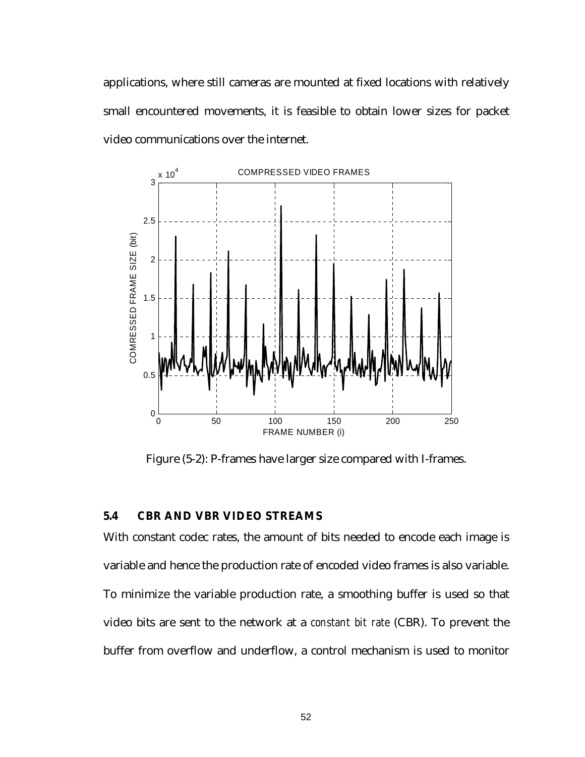applications, where still cameras are mounted at fixed locations with relatively small encountered movements, it is feasible to obtain lower sizes for packet video communications over the internet.



Figure (5-2): P-frames have larger size compared with I-frames.

## **5.4 CBR AND VBR VIDEO STREAMS**

With constant codec rates, the amount of bits needed to encode each image is variable and hence the production rate of encoded video frames is also variable. To minimize the variable production rate, a smoothing buffer is used so that video bits are sent to the network at a *constant bit rate* (CBR). To prevent the buffer from overflow and underflow, a control mechanism is used to monitor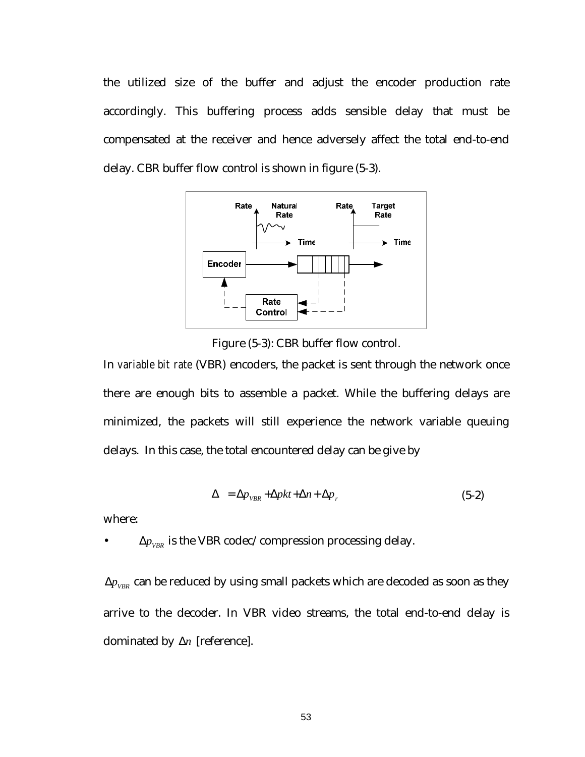the utilized size of the buffer and adjust the encoder production rate accordingly. This buffering process adds sensible delay that must be compensated at the receiver and hence adversely affect the total end-to-end delay. CBR buffer flow control is shown in figure (5-3).



Figure (5-3): CBR buffer flow control.

In *variable bit rate* (VBR) encoders, the packet is sent through the network once there are enough bits to assemble a packet. While the buffering delays are minimized, the packets will still experience the network variable queuing delays. In this case, the total encountered delay can be give by

$$
\Delta = \Delta p_{VBR} + \Delta p k t + \Delta n + \Delta p_r \tag{5-2}
$$

where:

 $\Delta p_{VRR}$  is the VBR codec/compression processing delay.

 $\Delta p_{VBR}$  can be reduced by using small packets which are decoded as soon as they arrive to the decoder. In VBR video streams, the total end-to-end delay is dominated by ∆*n* [reference].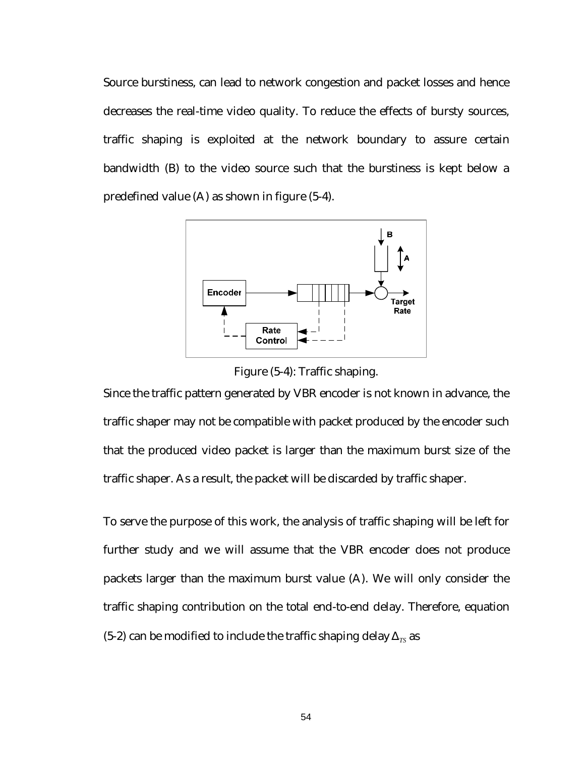Source burstiness, can lead to network congestion and packet losses and hence decreases the real-time video quality. To reduce the effects of bursty sources, traffic shaping is exploited at the network boundary to assure certain bandwidth (B) to the video source such that the burstiness is kept below a predefined value (A) as shown in figure (5-4).



Figure (5-4): Traffic shaping.

Since the traffic pattern generated by VBR encoder is not known in advance, the traffic shaper may not be compatible with packet produced by the encoder such that the produced video packet is larger than the maximum burst size of the traffic shaper. As a result, the packet will be discarded by traffic shaper.

To serve the purpose of this work, the analysis of traffic shaping will be left for further study and we will assume that the VBR encoder does not produce packets larger than the maximum burst value (A). We will only consider the traffic shaping contribution on the total end-to-end delay. Therefore, equation (5-2) can be modified to include the traffic shaping delay  $\Delta_{TS}$  as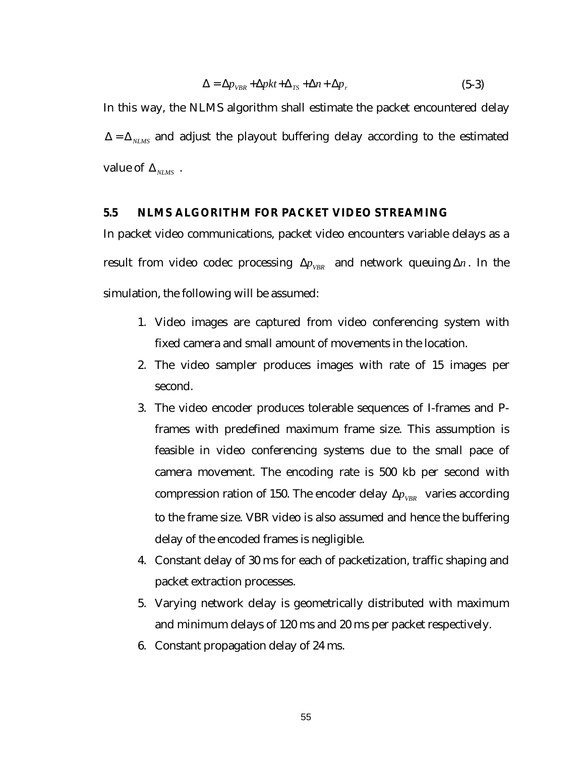$$
\Delta = \Delta p_{VBR} + \Delta pkt + \Delta_{TS} + \Delta n + \Delta p_r \tag{5-3}
$$

In this way, the NLMS algorithm shall estimate the packet encountered delay  $\Delta = \Delta_{NLMS}$  and adjust the playout buffering delay according to the estimated value of  $\Delta_{NMS}$ .

#### **5.5 NLMS ALGORITHM FOR PACKET VIDEO STREAMING**

In packet video communications, packet video encounters variable delays as a result from video codec processing  $\Delta p_{VBR}$  and network queuing  $\Delta n$ . In the simulation, the following will be assumed:

- 1. Video images are captured from video conferencing system with fixed camera and small amount of movements in the location.
- 2. The video sampler produces images with rate of 15 images per second.
- 3. The video encoder produces tolerable sequences of I-frames and Pframes with predefined maximum frame size. This assumption is feasible in video conferencing systems due to the small pace of camera movement. The encoding rate is 500 kb per second with compression ration of 150. The encoder delay  $\Delta p_{VBR}$  varies according to the frame size. VBR video is also assumed and hence the buffering delay of the encoded frames is negligible.
- 4. Constant delay of 30 ms for each of packetization, traffic shaping and packet extraction processes.
- 5. Varying network delay is geometrically distributed with maximum and minimum delays of 120 ms and 20 ms per packet respectively.
- 6. Constant propagation delay of 24 ms.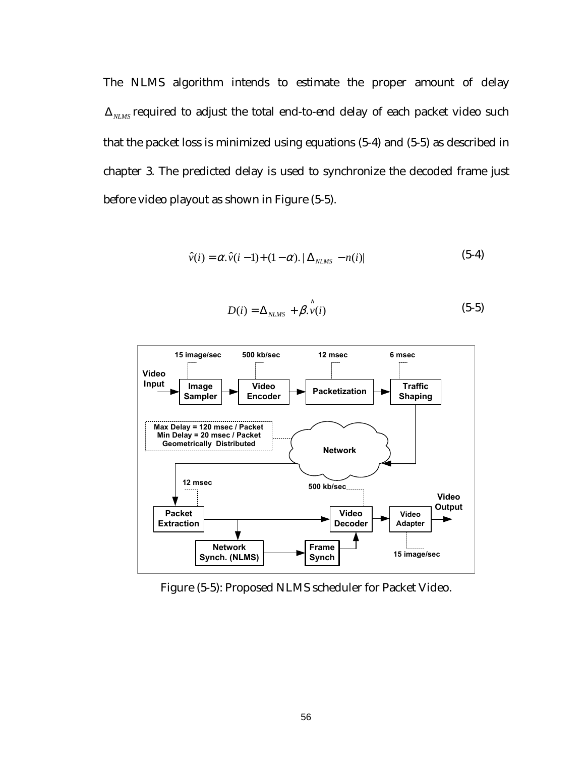The NLMS algorithm intends to estimate the proper amount of delay  $\Delta_{MMS}$  required to adjust the total end-to-end delay of each packet video such that the packet loss is minimized using equations (5-4) and (5-5) as described in chapter 3. The predicted delay is used to synchronize the decoded frame just before video playout as shown in Figure (5-5).

$$
\hat{v}(i) = \alpha \cdot \hat{v}(i-1) + (1-\alpha) \cdot |\Delta_{NLMS} - n(i)| \tag{5-4}
$$

$$
D(i) = \Delta_{NLMS} + \hat{\beta}.\hat{v}(i)
$$
 (5-5)



Figure (5-5): Proposed NLMS scheduler for Packet Video.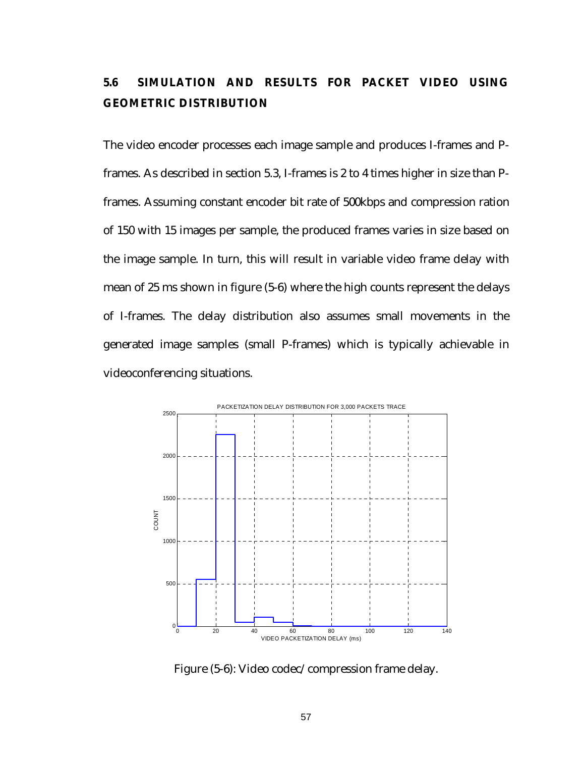# **5.6 SIMULATION AND RESULTS FOR PACKET VIDEO USING GEOMETRIC DISTRIBUTION**

The video encoder processes each image sample and produces I-frames and Pframes. As described in section 5.3, I-frames is 2 to 4 times higher in size than Pframes. Assuming constant encoder bit rate of 500kbps and compression ration of 150 with 15 images per sample, the produced frames varies in size based on the image sample. In turn, this will result in variable video frame delay with mean of 25 ms shown in figure (5-6) where the high counts represent the delays of I-frames. The delay distribution also assumes small movements in the generated image samples (small P-frames) which is typically achievable in videoconferencing situations.



Figure (5-6): Video codec/compression frame delay.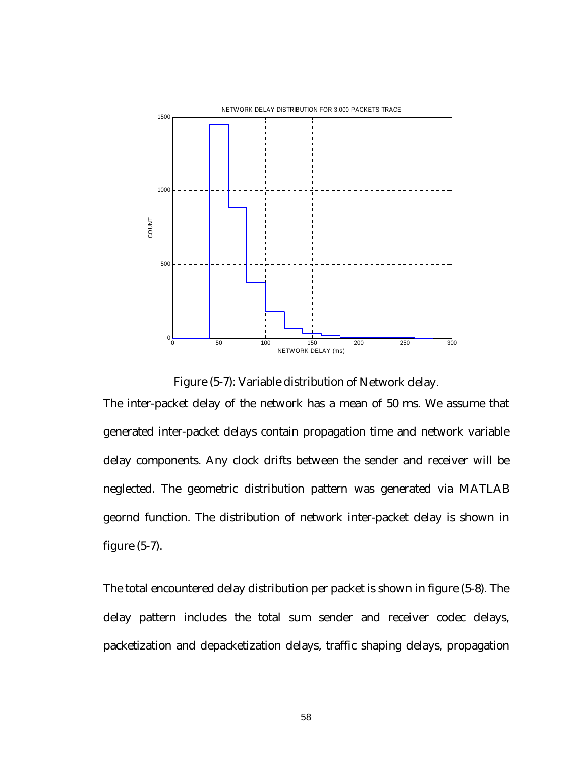

Figure (5-7): Variable distribution of Network delay.

The inter-packet delay of the network has a mean of 50 ms. We assume that generated inter-packet delays contain propagation time and network variable delay components. Any clock drifts between the sender and receiver will be neglected. The geometric distribution pattern was generated via MATLAB geornd function. The distribution of network inter-packet delay is shown in figure (5-7).

The total encountered delay distribution per packet is shown in figure (5-8). The delay pattern includes the total sum sender and receiver codec delays, packetization and depacketization delays, traffic shaping delays, propagation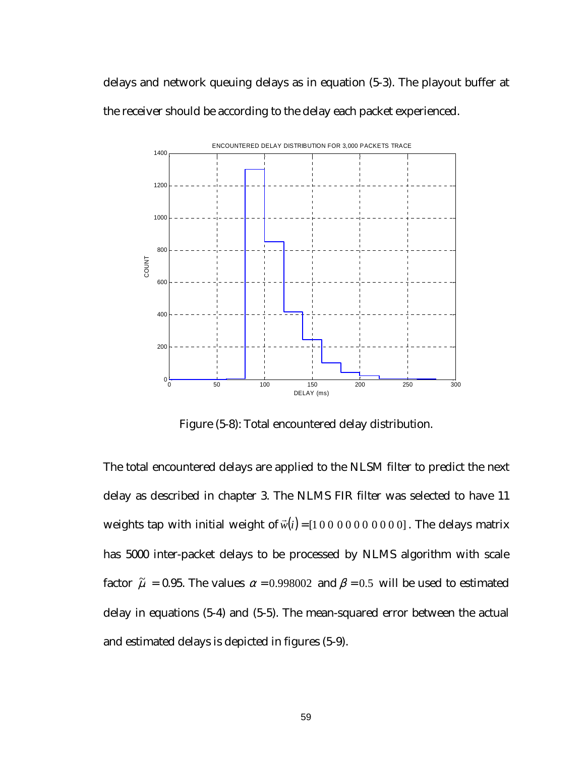delays and network queuing delays as in equation (5-3). The playout buffer at the receiver should be according to the delay each packet experienced.



Figure (5-8): Total encountered delay distribution.

The total encountered delays are applied to the NLSM filter to predict the next delay as described in chapter 3. The NLMS FIR filter was selected to have 11 weights tap with initial weight of  $\vec{w}(i) = [1 0 0 0 0 0 0 0 0 0]$ . The delays matrix has 5000 inter-packet delays to be processed by NLMS algorithm with scale factor  $\tilde{\mu}$  = 0.95. The values  $\alpha$  = 0.998002 and  $\beta$  = 0.5 will be used to estimated delay in equations (5-4) and (5-5). The mean-squared error between the actual and estimated delays is depicted in figures (5-9).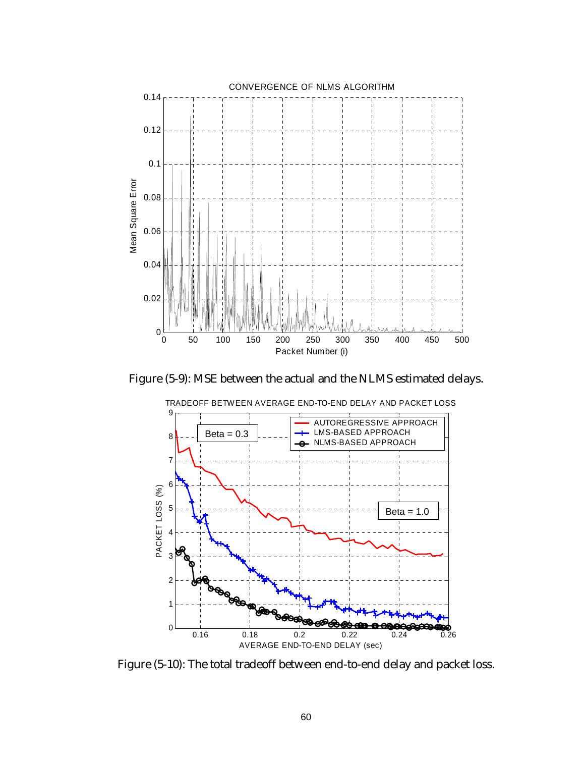

Figure (5-9): MSE between the actual and the NLMS estimated delays.



TRADEOFF BETWEEN AVERAGE END-TO-END DELAY AND PACKET LOSS

Figure (5-10): The total tradeoff between end-to-end delay and packet loss.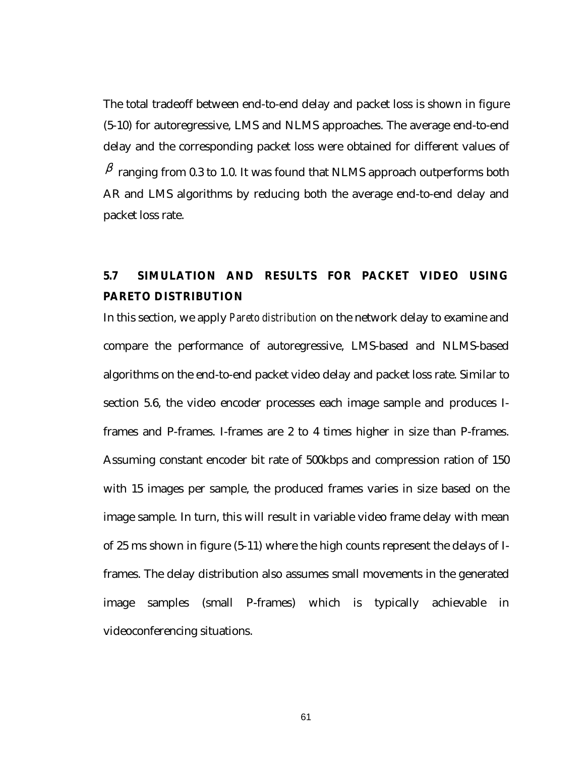The total tradeoff between end-to-end delay and packet loss is shown in figure (5-10) for autoregressive, LMS and NLMS approaches. The average end-to-end delay and the corresponding packet loss were obtained for different values of  $\beta$  ranging from 0.3 to 1.0. It was found that NLMS approach outperforms both AR and LMS algorithms by reducing both the average end-to-end delay and packet loss rate.

# **5.7 SIMULATION AND RESULTS FOR PACKET VIDEO USING PARETO DISTRIBUTION**

In this section, we apply *Pareto distribution* on the network delay to examine and compare the performance of autoregressive, LMS-based and NLMS-based algorithms on the end-to-end packet video delay and packet loss rate. Similar to section 5.6, the video encoder processes each image sample and produces Iframes and P-frames. I-frames are 2 to 4 times higher in size than P-frames. Assuming constant encoder bit rate of 500kbps and compression ration of 150 with 15 images per sample, the produced frames varies in size based on the image sample. In turn, this will result in variable video frame delay with mean of 25 ms shown in figure (5-11) where the high counts represent the delays of Iframes. The delay distribution also assumes small movements in the generated image samples (small P-frames) which is typically achievable in videoconferencing situations.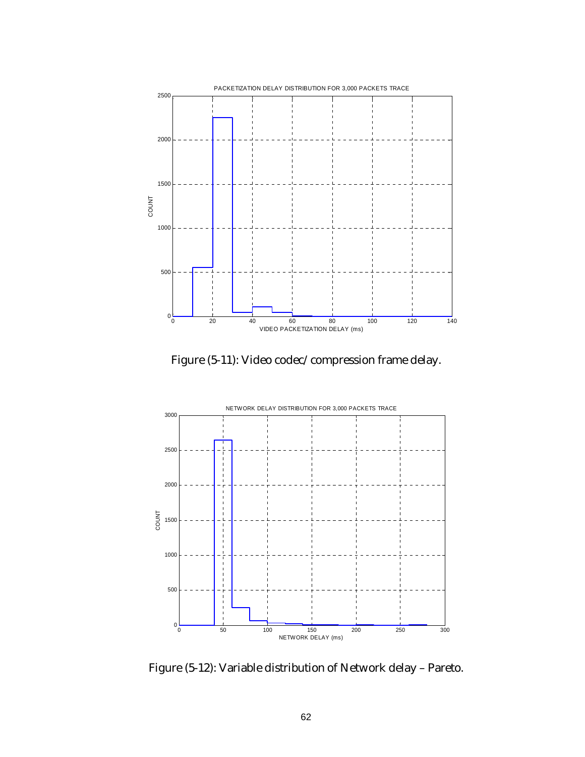

Figure (5-11): Video codec/compression frame delay.



Figure (5-12): Variable distribution of Network delay – Pareto.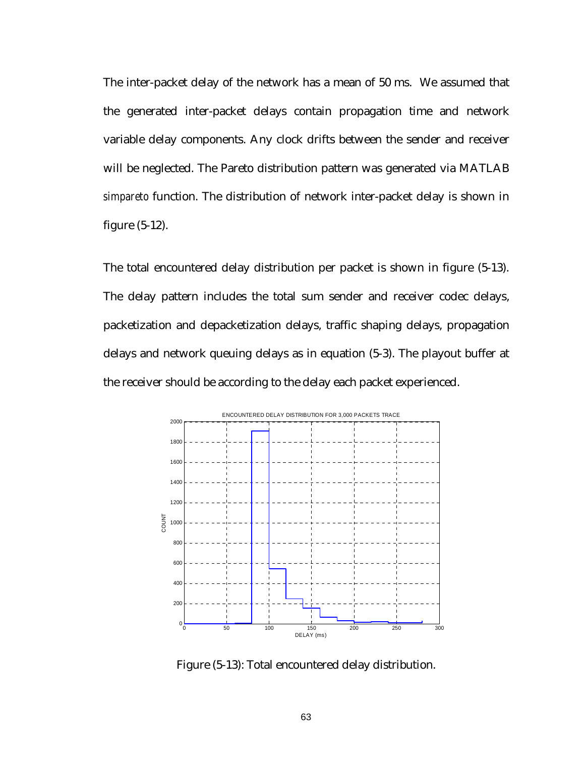The inter-packet delay of the network has a mean of 50 ms. We assumed that the generated inter-packet delays contain propagation time and network variable delay components. Any clock drifts between the sender and receiver will be neglected. The Pareto distribution pattern was generated via MATLAB *simpareto* function. The distribution of network inter-packet delay is shown in figure (5-12).

The total encountered delay distribution per packet is shown in figure (5-13). The delay pattern includes the total sum sender and receiver codec delays, packetization and depacketization delays, traffic shaping delays, propagation delays and network queuing delays as in equation (5-3). The playout buffer at the receiver should be according to the delay each packet experienced.



Figure (5-13): Total encountered delay distribution.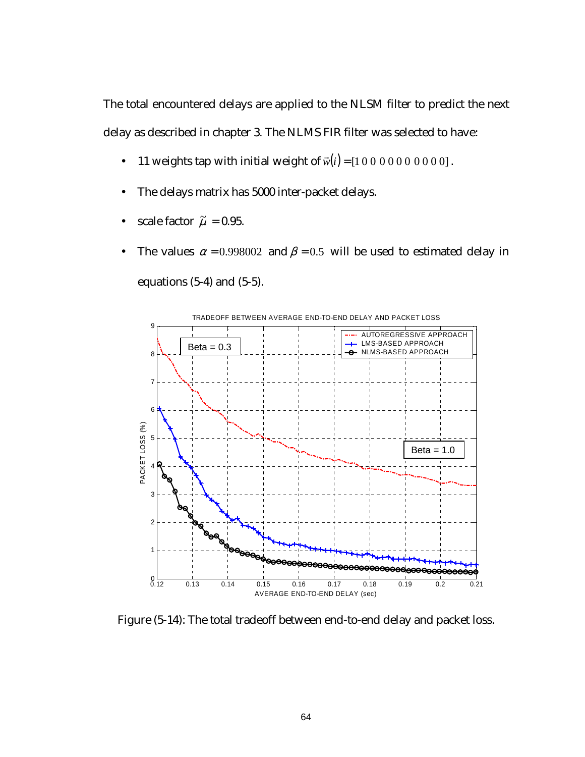The total encountered delays are applied to the NLSM filter to predict the next delay as described in chapter 3. The NLMS FIR filter was selected to have:

- 11 weights tap with initial weight of  $\vec{w}(i) = [1 \ 0 \ 0 \ 0 \ 0 \ 0 \ 0 \ 0 \ 0]$ .
- The delays matrix has 5000 inter-packet delays.
- scale factor  $\tilde{\mu} = 0.95$ .
- The values  $\alpha = 0.998002$  and  $\beta = 0.5$  will be used to estimated delay in equations (5-4) and (5-5).



Figure (5-14): The total tradeoff between end-to-end delay and packet loss.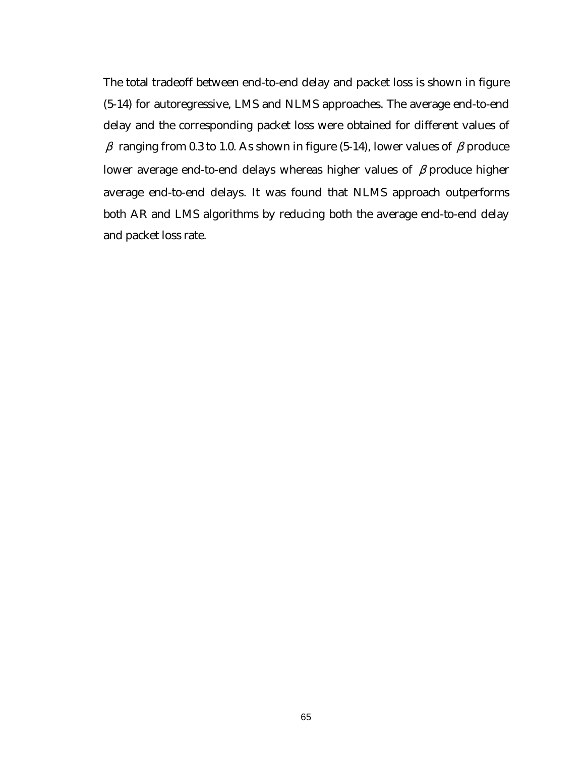The total tradeoff between end-to-end delay and packet loss is shown in figure (5-14) for autoregressive, LMS and NLMS approaches. The average end-to-end delay and the corresponding packet loss were obtained for different values of  $β$  ranging from 0.3 to 1.0. As shown in figure (5-14), lower values of  $β$  produce lower average end-to-end delays whereas higher values of  $\beta$  produce higher average end-to-end delays. It was found that NLMS approach outperforms both AR and LMS algorithms by reducing both the average end-to-end delay and packet loss rate.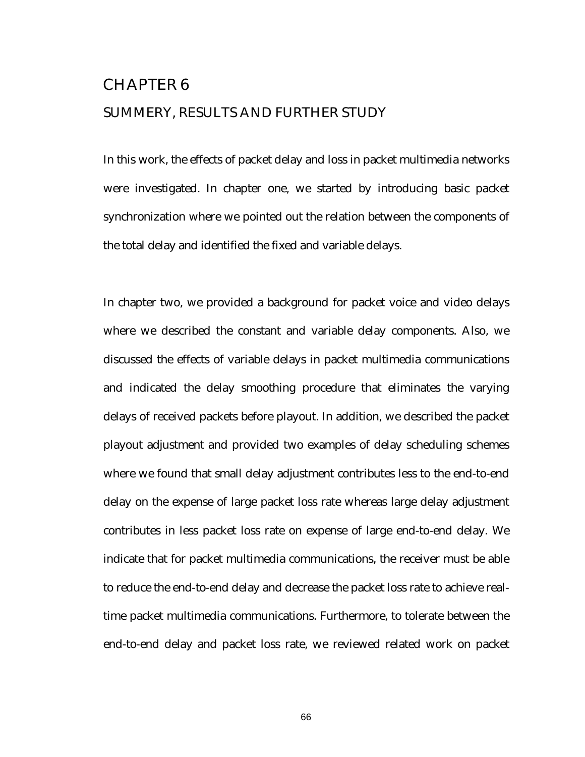## CHAPTER 6 SUMMERY, RESULTS AND FURTHER STUDY

In this work, the effects of packet delay and loss in packet multimedia networks were investigated. In chapter one, we started by introducing basic packet synchronization where we pointed out the relation between the components of the total delay and identified the fixed and variable delays.

In chapter two, we provided a background for packet voice and video delays where we described the constant and variable delay components. Also, we discussed the effects of variable delays in packet multimedia communications and indicated the delay smoothing procedure that eliminates the varying delays of received packets before playout. In addition, we described the packet playout adjustment and provided two examples of delay scheduling schemes where we found that small delay adjustment contributes less to the end-to-end delay on the expense of large packet loss rate whereas large delay adjustment contributes in less packet loss rate on expense of large end-to-end delay. We indicate that for packet multimedia communications, the receiver must be able to reduce the end-to-end delay and decrease the packet loss rate to achieve realtime packet multimedia communications. Furthermore, to tolerate between the end-to-end delay and packet loss rate, we reviewed related work on packet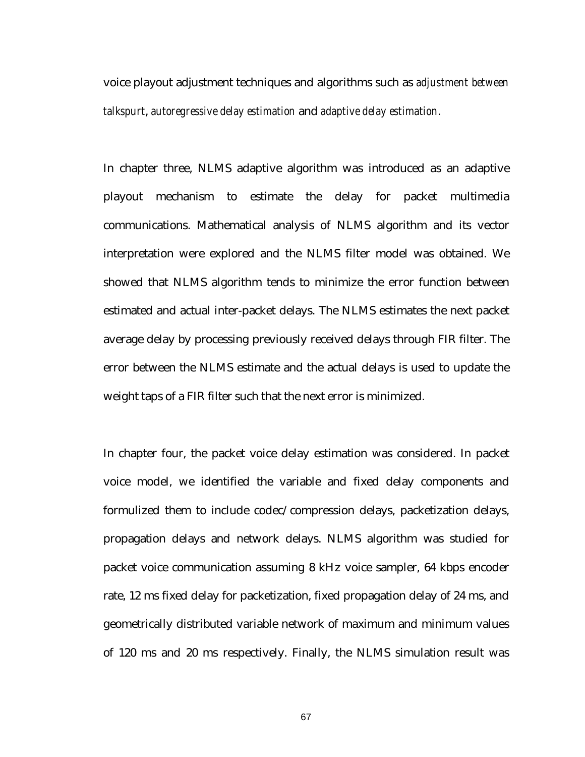voice playout adjustment techniques and algorithms such as *adjustment between talkspurt*, *autoregressive delay estimation* and *adaptive delay estimation*.

In chapter three, NLMS adaptive algorithm was introduced as an adaptive playout mechanism to estimate the delay for packet multimedia communications. Mathematical analysis of NLMS algorithm and its vector interpretation were explored and the NLMS filter model was obtained. We showed that NLMS algorithm tends to minimize the error function between estimated and actual inter-packet delays. The NLMS estimates the next packet average delay by processing previously received delays through FIR filter. The error between the NLMS estimate and the actual delays is used to update the weight taps of a FIR filter such that the next error is minimized.

In chapter four, the packet voice delay estimation was considered. In packet voice model, we identified the variable and fixed delay components and formulized them to include codec/compression delays, packetization delays, propagation delays and network delays. NLMS algorithm was studied for packet voice communication assuming 8 kHz voice sampler, 64 kbps encoder rate, 12 ms fixed delay for packetization, fixed propagation delay of 24 ms, and geometrically distributed variable network of maximum and minimum values of 120 ms and 20 ms respectively. Finally, the NLMS simulation result was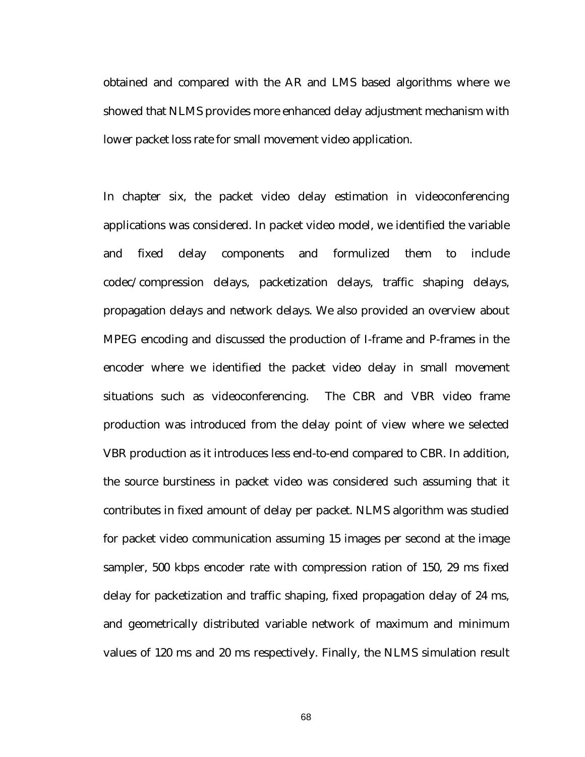obtained and compared with the AR and LMS based algorithms where we showed that NLMS provides more enhanced delay adjustment mechanism with lower packet loss rate for small movement video application.

In chapter six, the packet video delay estimation in videoconferencing applications was considered. In packet video model, we identified the variable and fixed delay components and formulized them to include codec/compression delays, packetization delays, traffic shaping delays, propagation delays and network delays. We also provided an overview about MPEG encoding and discussed the production of I-frame and P-frames in the encoder where we identified the packet video delay in small movement situations such as videoconferencing. The CBR and VBR video frame production was introduced from the delay point of view where we selected VBR production as it introduces less end-to-end compared to CBR. In addition, the source burstiness in packet video was considered such assuming that it contributes in fixed amount of delay per packet. NLMS algorithm was studied for packet video communication assuming 15 images per second at the image sampler, 500 kbps encoder rate with compression ration of 150, 29 ms fixed delay for packetization and traffic shaping, fixed propagation delay of 24 ms, and geometrically distributed variable network of maximum and minimum values of 120 ms and 20 ms respectively. Finally, the NLMS simulation result

68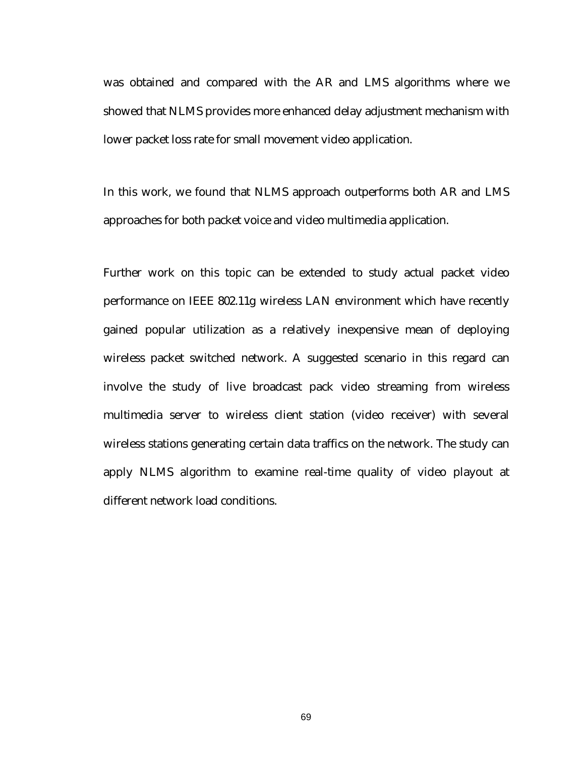was obtained and compared with the AR and LMS algorithms where we showed that NLMS provides more enhanced delay adjustment mechanism with lower packet loss rate for small movement video application.

In this work, we found that NLMS approach outperforms both AR and LMS approaches for both packet voice and video multimedia application.

Further work on this topic can be extended to study actual packet video performance on IEEE 802.11g wireless LAN environment which have recently gained popular utilization as a relatively inexpensive mean of deploying wireless packet switched network. A suggested scenario in this regard can involve the study of live broadcast pack video streaming from wireless multimedia server to wireless client station (video receiver) with several wireless stations generating certain data traffics on the network. The study can apply NLMS algorithm to examine real-time quality of video playout at different network load conditions.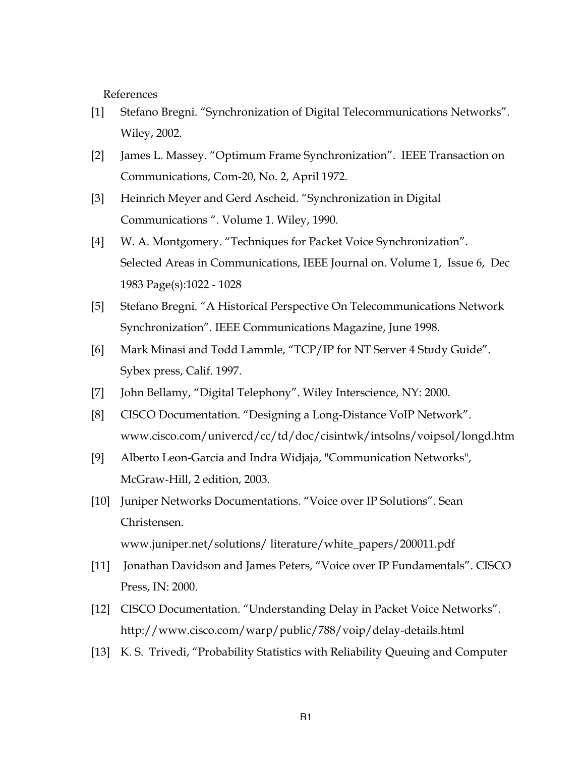References

- [1] Stefano Bregni. "Synchronization of Digital Telecommunications Networks". Wiley, 2002.
- [2] James L. Massey. "Optimum Frame Synchronization". IEEE Transaction on Communications, Com-20, No. 2, April 1972.
- [3] Heinrich Meyer and Gerd Ascheid. "Synchronization in Digital Communications ". Volume 1. Wiley, 1990.
- [4] W. A. Montgomery. "Techniques for Packet Voice Synchronization". Selected Areas in Communications, IEEE Journal on. Volume 1, Issue 6, Dec 1983 Page(s):1022 - 1028
- [5] Stefano Bregni. "A Historical Perspective On Telecommunications Network Synchronization". IEEE Communications Magazine, June 1998.
- [6] Mark Minasi and Todd Lammle, "TCP/IP for NT Server 4 Study Guide". Sybex press, Calif. 1997.
- [7] John Bellamy, "Digital Telephony". Wiley Interscience, NY: 2000.
- [8] CISCO Documentation. "Designing a Long-Distance VoIP Network". www.cisco.com/univercd/cc/td/doc/cisintwk/intsolns/voipsol/longd.htm
- [9] Alberto Leon-Garcia and Indra Widjaja, "Communication Networks", McGraw-Hill, 2 edition, 2003.
- [10] Juniper Networks Documentations. "Voice over IP Solutions". Sean Christensen. www.juniper.net/solutions/ literature/white\_papers/200011.pdf
- [11] Jonathan Davidson and James Peters, "Voice over IP Fundamentals". CISCO Press, IN: 2000.
- [12] CISCO Documentation. "Understanding Delay in Packet Voice Networks". http://www.cisco.com/warp/public/788/voip/delay-details.html
- [13] K. S. Trivedi, "Probability Statistics with Reliability Queuing and Computer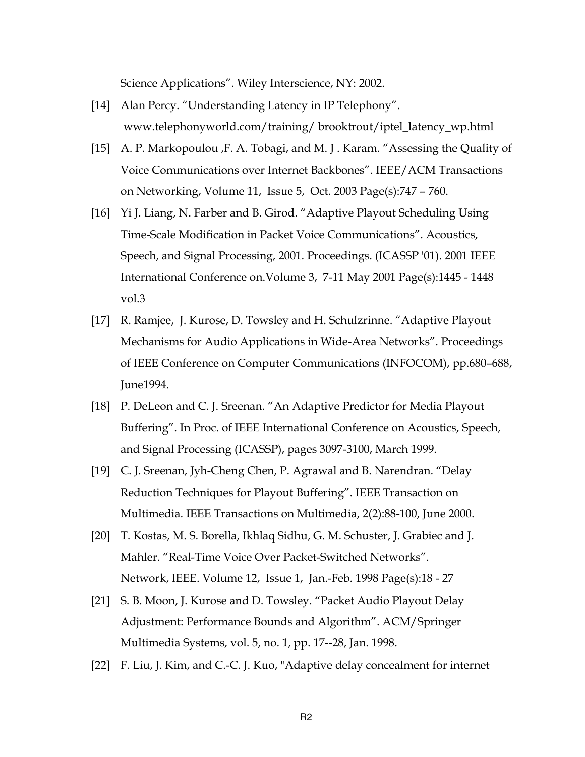Science Applications". Wiley Interscience, NY: 2002.

- [14] Alan Percy. "Understanding Latency in IP Telephony". www.telephonyworld.com/training/ brooktrout/iptel\_latency\_wp.html
- [15] A. P. Markopoulou ,F. A. Tobagi, and M. J . Karam. "Assessing the Quality of Voice Communications over Internet Backbones". IEEE/ACM Transactions on Networking, Volume 11, Issue 5, Oct. 2003 Page(s):747 – 760.
- [16] Yi J. Liang, N. Farber and B. Girod. "Adaptive Playout Scheduling Using Time-Scale Modification in Packet Voice Communications". Acoustics, Speech, and Signal Processing, 2001. Proceedings. (ICASSP '01). 2001 IEEE International Conference on.Volume 3, 7-11 May 2001 Page(s):1445 - 1448 vol.3
- [17] R. Ramjee, J. Kurose, D. Towsley and H. Schulzrinne. "Adaptive Playout Mechanisms for Audio Applications in Wide-Area Networks". Proceedings of IEEE Conference on Computer Communications (INFOCOM), pp.680–688, June1994.
- [18] P. DeLeon and C. J. Sreenan. "An Adaptive Predictor for Media Playout Buffering". In Proc. of IEEE International Conference on Acoustics, Speech, and Signal Processing (ICASSP), pages 3097-3100, March 1999.
- [19] C. J. Sreenan, Jyh-Cheng Chen, P. Agrawal and B. Narendran. "Delay Reduction Techniques for Playout Buffering". IEEE Transaction on Multimedia. IEEE Transactions on Multimedia, 2(2):88-100, June 2000.
- [20] T. Kostas, M. S. Borella, Ikhlaq Sidhu, G. M. Schuster, J. Grabiec and J. Mahler. "Real-Time Voice Over Packet-Switched Networks". Network, IEEE. Volume 12, Issue 1, Jan.-Feb. 1998 Page(s):18 - 27
- [21] S. B. Moon, J. Kurose and D. Towsley. "Packet Audio Playout Delay Adjustment: Performance Bounds and Algorithm". ACM/Springer Multimedia Systems, vol. 5, no. 1, pp. 17--28, Jan. 1998.
- [22] F. Liu, J. Kim, and C.-C. J. Kuo, "Adaptive delay concealment for internet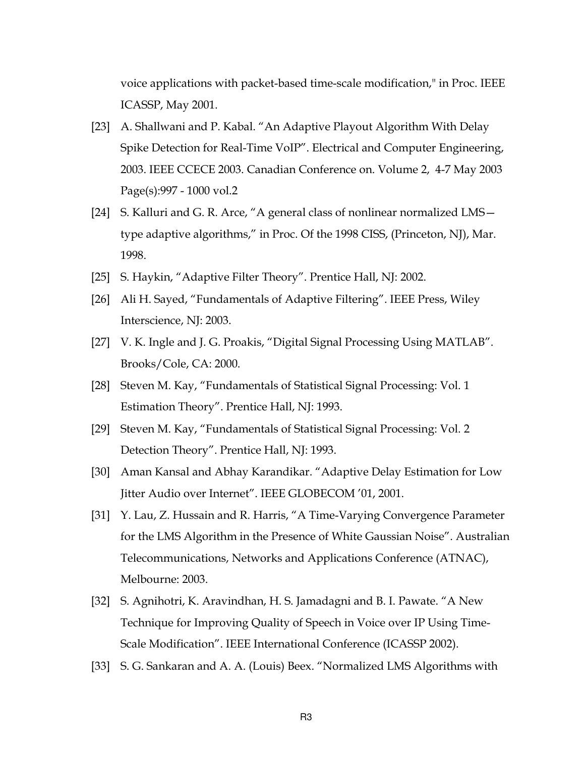voice applications with packet-based time-scale modification," in Proc. IEEE ICASSP, May 2001.

- [23] A. Shallwani and P. Kabal. "An Adaptive Playout Algorithm With Delay Spike Detection for Real-Time VoIP". Electrical and Computer Engineering, 2003. IEEE CCECE 2003. Canadian Conference on. Volume 2, 4-7 May 2003 Page(s):997 - 1000 vol.2
- [24] S. Kalluri and G. R. Arce, "A general class of nonlinear normalized LMS type adaptive algorithms," in Proc. Of the 1998 CISS, (Princeton, NJ), Mar. 1998.
- [25] S. Haykin, "Adaptive Filter Theory". Prentice Hall, NJ: 2002.
- [26] Ali H. Sayed, "Fundamentals of Adaptive Filtering". IEEE Press, Wiley Interscience, NJ: 2003.
- [27] V. K. Ingle and J. G. Proakis, "Digital Signal Processing Using MATLAB". Brooks/Cole, CA: 2000.
- [28] Steven M. Kay, "Fundamentals of Statistical Signal Processing: Vol. 1 Estimation Theory". Prentice Hall, NJ: 1993.
- [29] Steven M. Kay, "Fundamentals of Statistical Signal Processing: Vol. 2 Detection Theory". Prentice Hall, NJ: 1993.
- [30] Aman Kansal and Abhay Karandikar. "Adaptive Delay Estimation for Low Jitter Audio over Internet". IEEE GLOBECOM '01, 2001.
- [31] Y. Lau, Z. Hussain and R. Harris, "A Time-Varying Convergence Parameter for the LMS Algorithm in the Presence of White Gaussian Noise". Australian Telecommunications, Networks and Applications Conference (ATNAC), Melbourne: 2003.
- [32] S. Agnihotri, K. Aravindhan, H. S. Jamadagni and B. I. Pawate. "A New Technique for Improving Quality of Speech in Voice over IP Using Time-Scale Modification". IEEE International Conference (ICASSP 2002).
- [33] S. G. Sankaran and A. A. (Louis) Beex. "Normalized LMS Algorithms with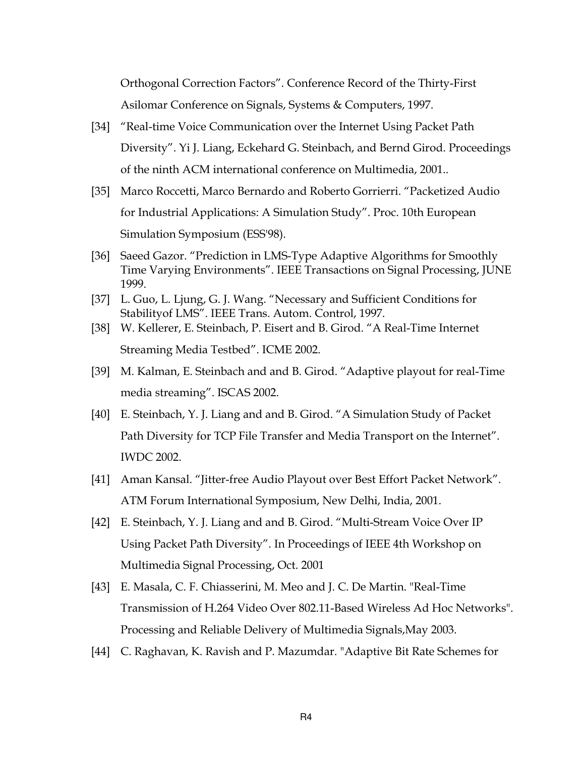Orthogonal Correction Factors". Conference Record of the Thirty-First Asilomar Conference on Signals, Systems & Computers, 1997.

- [34] "Real-time Voice Communication over the Internet Using Packet Path Diversity". Yi J. Liang, Eckehard G. Steinbach, and Bernd Girod. Proceedings of the ninth ACM international conference on Multimedia, 2001..
- [35] Marco Roccetti, Marco Bernardo and Roberto Gorrierri. "Packetized Audio for Industrial Applications: A Simulation Study". Proc. 10th European Simulation Symposium (ESS'98).
- [36] Saeed Gazor. "Prediction in LMS-Type Adaptive Algorithms for Smoothly Time Varying Environments". IEEE Transactions on Signal Processing, JUNE 1999.
- [37] L. Guo, L. Ljung, G. J. Wang. "Necessary and Sufficient Conditions for Stabilityof LMS". IEEE Trans. Autom. Control, 1997.
- [38] W. Kellerer, E. Steinbach, P. Eisert and B. Girod. "A Real-Time Internet Streaming Media Testbed". ICME 2002.
- [39] M. Kalman, E. Steinbach and and B. Girod. "Adaptive playout for real-Time media streaming". ISCAS 2002.
- [40] E. Steinbach, Y. J. Liang and and B. Girod. "A Simulation Study of Packet Path Diversity for TCP File Transfer and Media Transport on the Internet". IWDC 2002.
- [41] Aman Kansal. "Jitter-free Audio Playout over Best Effort Packet Network". ATM Forum International Symposium, New Delhi, India, 2001.
- [42] E. Steinbach, Y. J. Liang and and B. Girod. "Multi-Stream Voice Over IP Using Packet Path Diversity". In Proceedings of IEEE 4th Workshop on Multimedia Signal Processing, Oct. 2001
- [43] E. Masala, C. F. Chiasserini, M. Meo and J. C. De Martin. "Real-Time Transmission of H.264 Video Over 802.11-Based Wireless Ad Hoc Networks". Processing and Reliable Delivery of Multimedia Signals,May 2003.
- [44] C. Raghavan, K. Ravish and P. Mazumdar. "Adaptive Bit Rate Schemes for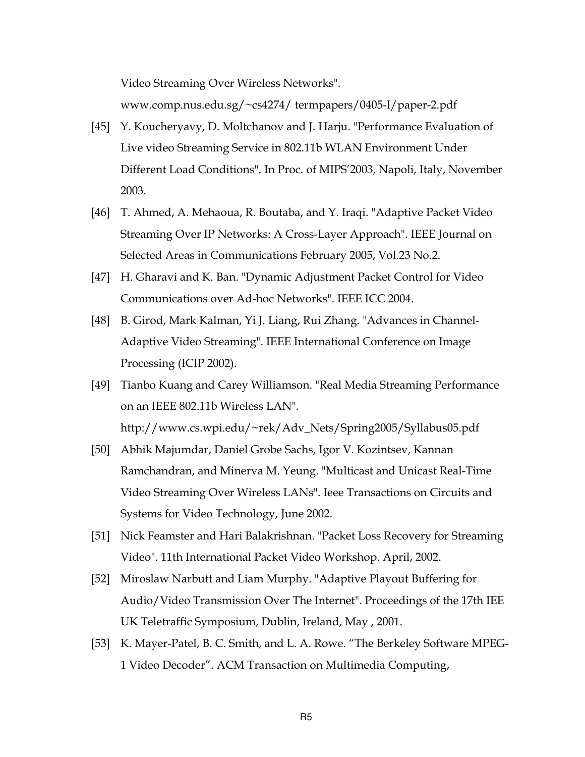Video Streaming Over Wireless Networks". www.comp.nus.edu.sg/~cs4274/ termpapers/0405-I/paper-2.pdf

- [45] Y. Koucheryavy, D. Moltchanov and J. Harju. "Performance Evaluation of Live video Streaming Service in 802.11b WLAN Environment Under Different Load Conditions". In Proc. of MIPS'2003, Napoli, Italy, November 2003.
- [46] T. Ahmed, A. Mehaoua, R. Boutaba, and Y. Iraqi. "Adaptive Packet Video Streaming Over IP Networks: A Cross-Layer Approach". IEEE Journal on Selected Areas in Communications February 2005, Vol.23 No.2.
- [47] H. Gharavi and K. Ban. "Dynamic Adjustment Packet Control for Video Communications over Ad-hoc Networks". IEEE ICC 2004.
- [48] B. Girod, Mark Kalman, Yi J. Liang, Rui Zhang. "Advances in Channel-Adaptive Video Streaming". IEEE International Conference on Image Processing (ICIP 2002).
- [49] Tianbo Kuang and Carey Williamson. "Real Media Streaming Performance on an IEEE 802.11b Wireless LAN". http://www.cs.wpi.edu/~rek/Adv\_Nets/Spring2005/Syllabus05.pdf
- [50] Abhik Majumdar, Daniel Grobe Sachs, Igor V. Kozintsev, Kannan Ramchandran, and Minerva M. Yeung. "Multicast and Unicast Real-Time Video Streaming Over Wireless LANs". Ieee Transactions on Circuits and Systems for Video Technology, June 2002.
- [51] Nick Feamster and Hari Balakrishnan. "Packet Loss Recovery for Streaming Video". 11th International Packet Video Workshop. April, 2002.
- [52] Miroslaw Narbutt and Liam Murphy. "Adaptive Playout Buffering for Audio/Video Transmission Over The Internet". Proceedings of the 17th IEE UK Teletraffic Symposium, Dublin, Ireland, May , 2001.
- [53] K. Mayer-Patel, B. C. Smith, and L. A. Rowe. "The Berkeley Software MPEG-1 Video Decoder". ACM Transaction on Multimedia Computing,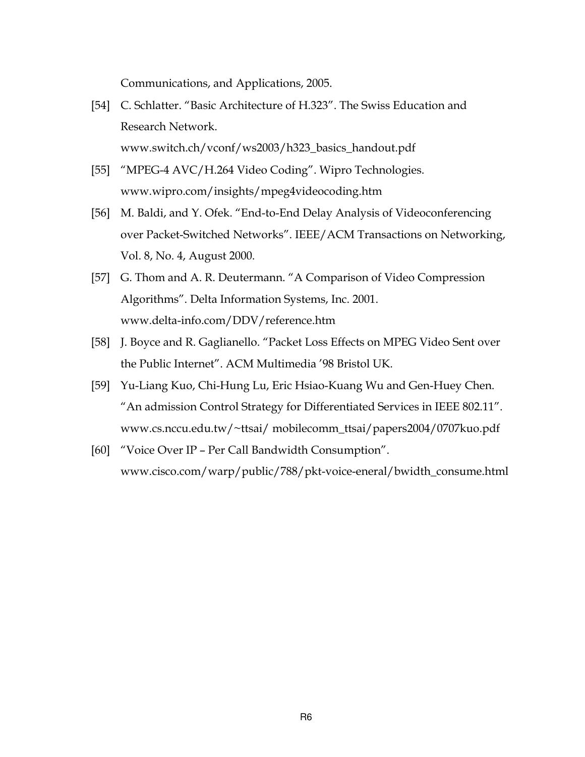Communications, and Applications, 2005.

- [54] C. Schlatter. "Basic Architecture of H.323". The Swiss Education and Research Network. www.switch.ch/vconf/ws2003/h323\_basics\_handout.pdf
- [55] "MPEG-4 AVC/H.264 Video Coding". Wipro Technologies. www.wipro.com/insights/mpeg4videocoding.htm
- [56] M. Baldi, and Y. Ofek. "End-to-End Delay Analysis of Videoconferencing over Packet-Switched Networks". IEEE/ACM Transactions on Networking, Vol. 8, No. 4, August 2000.
- [57] G. Thom and A. R. Deutermann. "A Comparison of Video Compression Algorithms". Delta Information Systems, Inc. 2001. www.delta-info.com/DDV/reference.htm
- [58] J. Boyce and R. Gaglianello. "Packet Loss Effects on MPEG Video Sent over the Public Internet". ACM Multimedia '98 Bristol UK.
- [59] Yu-Liang Kuo, Chi-Hung Lu, Eric Hsiao-Kuang Wu and Gen-Huey Chen. "An admission Control Strategy for Differentiated Services in IEEE 802.11". www.cs.nccu.edu.tw/~ttsai/ mobilecomm\_ttsai/papers2004/0707kuo.pdf
- [60] "Voice Over IP Per Call Bandwidth Consumption". www.cisco.com/warp/public/788/pkt-voice-eneral/bwidth\_consume.html